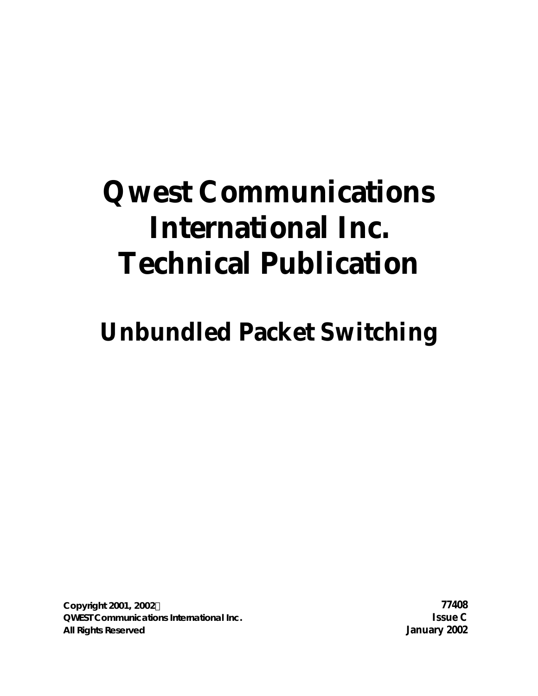# **Qwest Communications International Inc. Technical Publication**

**Unbundled Packet Switching**

**Copyright 2001, 2002Ó 77408 QWEST Communications International Inc. Issue C All Rights Reserved January 2002**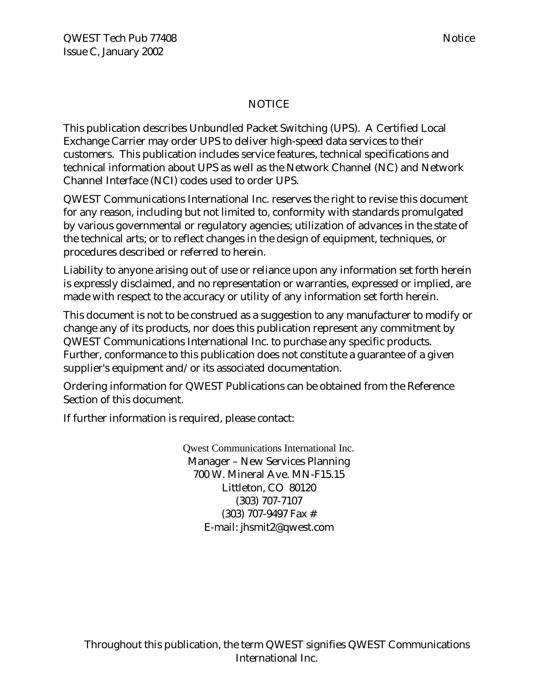#### NOTICE

This publication describes Unbundled Packet Switching (UPS). A Certified Local Exchange Carrier may order UPS to deliver high-speed data services to their customers. This publication includes service features, technical specifications and technical information about UPS as well as the Network Channel (NC) and Network Channel Interface (NCI) codes used to order UPS.

QWEST Communications International Inc. reserves the right to revise this document for any reason, including but not limited to, conformity with standards promulgated by various governmental or regulatory agencies; utilization of advances in the state of the technical arts; or to reflect changes in the design of equipment, techniques, or procedures described or referred to herein.

Liability to anyone arising out of use or reliance upon any information set forth herein is expressly disclaimed, and no representation or warranties, expressed or implied, are made with respect to the accuracy or utility of any information set forth herein.

This document is not to be construed as a suggestion to any manufacturer to modify or change any of its products, nor does this publication represent any commitment by QWEST Communications International Inc. to purchase any specific products. Further, conformance to this publication does not constitute a guarantee of a given supplier's equipment and/or its associated documentation.

Ordering information for QWEST Publications can be obtained from the Reference Section of this document.

If further information is required, please contact:

Qwest Communications International Inc. Manager – New Services Planning 700 W. Mineral Ave. MN-F15.15 Littleton, CO 80120 (303) 707-7107 (303) 707-9497 Fax # E-mail: jhsmit2@qwest.com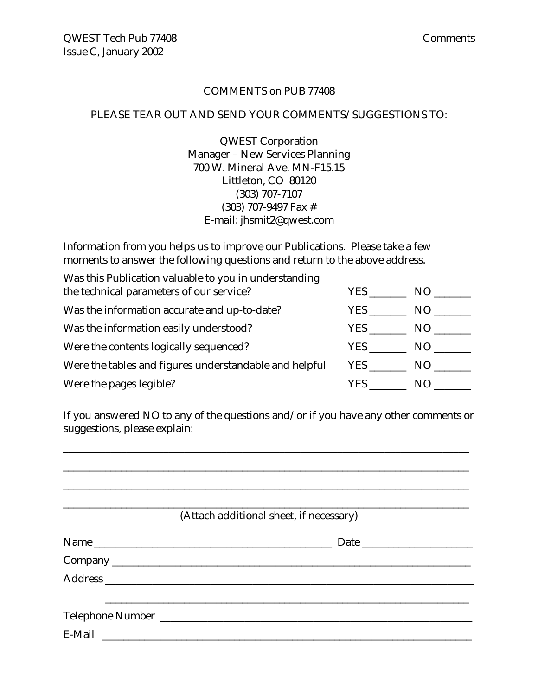#### COMMENTS on PUB 77408

#### PLEASE TEAR OUT AND SEND YOUR COMMENTS/SUGGESTIONS TO:

QWEST Corporation Manager – New Services Planning 700 W. Mineral Ave. MN-F15.15 Littleton, CO 80120 (303) 707-7107 (303) 707-9497 Fax # E-mail: jhsmit2@qwest.com

Information from you helps us to improve our Publications. Please take a few moments to answer the following questions and return to the above address.

| Was this Publication valuable to you in understanding  |            |     |
|--------------------------------------------------------|------------|-----|
| the technical parameters of our service?               | <b>YES</b> | NO. |
| Was the information accurate and up-to-date?           | YES.       | NO. |
| Was the information easily understood?                 | YES .      | NO. |
| Were the contents logically sequenced?                 | YES .      | NO. |
| Were the tables and figures understandable and helpful | YES .      | NO. |
| Were the pages legible?                                | YES        | N() |

If you answered NO to any of the questions and/or if you have any other comments or suggestions, please explain:

\_\_\_\_\_\_\_\_\_\_\_\_\_\_\_\_\_\_\_\_\_\_\_\_\_\_\_\_\_\_\_\_\_\_\_\_\_\_\_\_\_\_\_\_\_\_\_\_\_\_\_\_\_\_\_\_\_\_\_\_\_\_\_\_\_\_\_\_\_\_\_\_\_\_\_\_\_

| (Attach additional sheet, if necessary) |
|-----------------------------------------|
|                                         |
|                                         |
|                                         |
|                                         |
|                                         |
|                                         |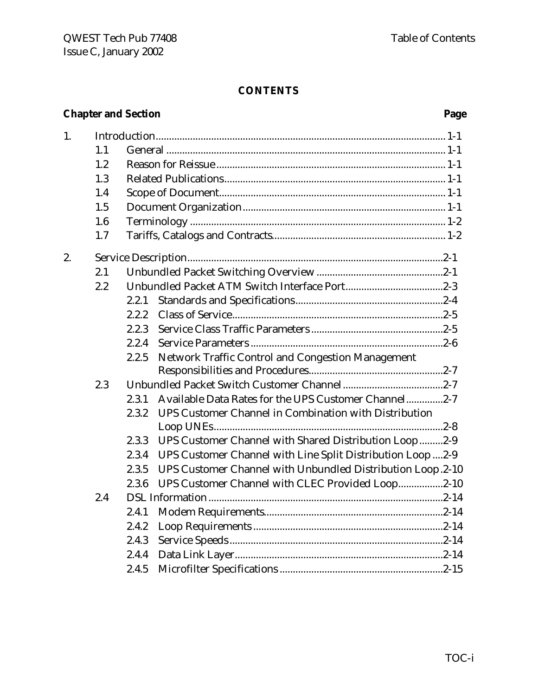# **CONTENTS**

# **Chapter and Section Page**

| 1. |     |       |                                                             |  |
|----|-----|-------|-------------------------------------------------------------|--|
|    | 1.1 |       |                                                             |  |
|    | 1.2 |       |                                                             |  |
|    | 1.3 |       |                                                             |  |
|    | 1.4 |       |                                                             |  |
|    | 1.5 |       |                                                             |  |
|    | 1.6 |       |                                                             |  |
|    | 1.7 |       |                                                             |  |
| 2. |     |       |                                                             |  |
|    | 2.1 |       |                                                             |  |
|    | 2.2 |       |                                                             |  |
|    |     | 2.2.1 |                                                             |  |
|    |     | 2.2.2 |                                                             |  |
|    |     | 2.2.3 |                                                             |  |
|    |     | 2.2.4 |                                                             |  |
|    |     | 2.2.5 | Network Traffic Control and Congestion Management           |  |
|    |     |       |                                                             |  |
|    | 2.3 |       |                                                             |  |
|    |     | 2.3.1 | Available Data Rates for the UPS Customer Channel2-7        |  |
|    |     | 2.3.2 | UPS Customer Channel in Combination with Distribution       |  |
|    |     |       |                                                             |  |
|    |     | 2.3.3 | UPS Customer Channel with Shared Distribution Loop2-9       |  |
|    |     | 2.3.4 | UPS Customer Channel with Line Split Distribution Loop  2-9 |  |
|    |     | 2.3.5 | UPS Customer Channel with Unbundled Distribution Loop.2-10  |  |
|    |     | 2.3.6 | UPS Customer Channel with CLEC Provided Loop2-10            |  |
|    | 2.4 |       |                                                             |  |
|    |     | 2.4.1 |                                                             |  |
|    |     | 2.4.2 |                                                             |  |
|    |     | 2.4.3 |                                                             |  |
|    |     | 2.4.4 |                                                             |  |
|    |     | 2.4.5 |                                                             |  |
|    |     |       |                                                             |  |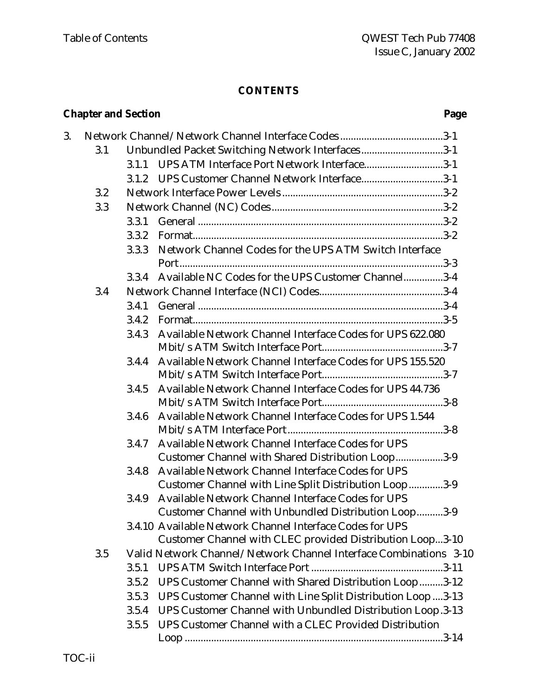#### **CONTENTS**

# **Chapter and Section Page** 3. Network Channel/Network Channel Interface Codes .......................................3-1 3.1 Unbundled Packet Switching Network Interfaces ...............................3-1 3.1.1 UPS ATM Interface Port Network Interface..............................3-1 3.1.2 UPS Customer Channel Network Interface...............................3-1 3.2 Network Interface Power Levels .............................................................3-2 3.3 Network Channel (NC) Codes .................................................................3-2 3.3.1 General .............................................................................................3-2 3.3.2 Format...............................................................................................3-2 3.3.3 Network Channel Codes for the UPS ATM Switch Interface Port....................................................................................................3-3 3.3.4 Available NC Codes for the UPS Customer Channel...............3-4 3.4 Network Channel Interface (NCI) Codes...............................................3-4 3.4.1 General .............................................................................................3-4 3.4.2 Format...............................................................................................3-5 3.4.3 Available Network Channel Interface Codes for UPS 622.080 Mbit/s ATM Switch Interface Port..............................................3-7 3.4.4 Available Network Channel Interface Codes for UPS 155.520 Mbit/s ATM Switch Interface Port..............................................3-7 3.4.5 Available Network Channel Interface Codes for UPS 44.736 Mbit/s ATM Switch Interface Port..............................................3-8 3.4.6 Available Network Channel Interface Codes for UPS 1.544 Mbit/s ATM Interface Port...........................................................3-8 3.4.7 Available Network Channel Interface Codes for UPS Customer Channel with Shared Distribution Loop..................3-9 3.4.8 Available Network Channel Interface Codes for UPS Customer Channel with Line Split Distribution Loop.............3-9 3.4.9 Available Network Channel Interface Codes for UPS Customer Channel with Unbundled Distribution Loop..........3-9 3.4.10 Available Network Channel Interface Codes for UPS Customer Channel with CLEC provided Distribution Loop...3-10 3.5 Valid Network Channel/Network Channel Interface Combinations 3-10 3.5.1 UPS ATM Switch Interface Port ..................................................3-11 3.5.2 UPS Customer Channel with Shared Distribution Loop.........3-12 3.5.3 UPS Customer Channel with Line Split Distribution Loop ....3-13 3.5.4 UPS Customer Channel with Unbundled Distribution Loop.3-13 3.5.5 UPS Customer Channel with a CLEC Provided Distribution Loop ..................................................................................................3-14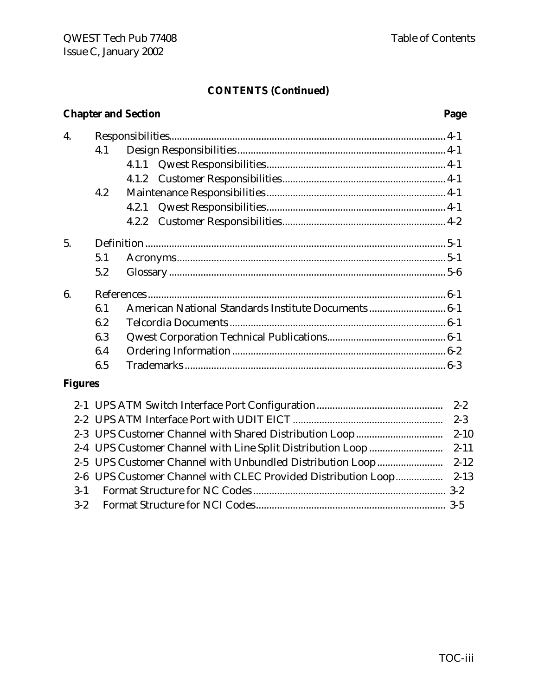#### **CONTENTS (Continued)**

|                | <b>Chapter and Section</b><br>Page |                                                     |  |  |
|----------------|------------------------------------|-----------------------------------------------------|--|--|
| 4.             |                                    |                                                     |  |  |
|                | 4.1                                |                                                     |  |  |
|                |                                    |                                                     |  |  |
|                |                                    |                                                     |  |  |
|                | 4.2                                |                                                     |  |  |
|                |                                    | 4.2.1                                               |  |  |
|                |                                    | 4.2.2                                               |  |  |
| 5.             |                                    |                                                     |  |  |
|                | 5.1                                |                                                     |  |  |
|                | 5.2                                |                                                     |  |  |
| 6.             |                                    |                                                     |  |  |
|                | 6.1                                | American National Standards Institute Documents 6-1 |  |  |
|                | 6.2                                |                                                     |  |  |
|                | 6.3                                |                                                     |  |  |
|                | 6.4                                |                                                     |  |  |
|                | 6.5                                |                                                     |  |  |
| <b>Figures</b> |                                    |                                                     |  |  |
|                |                                    |                                                     |  |  |
|                |                                    |                                                     |  |  |

2-3 UPS Customer Channel with Shared Distribution Loop................................. 2-10 2-4 UPS Customer Channel with Line Split Distribution Loop ............................ 2-11 2-5 UPS Customer Channel with Unbundled Distribution Loop......................... 2-12 2-6 UPS Customer Channel with CLEC Provided Distribution Loop.................. 2-13 3-1 Format Structure for NC Codes ......................................................................... 3-2 3-2 Format Structure for NCI Codes........................................................................ 3-5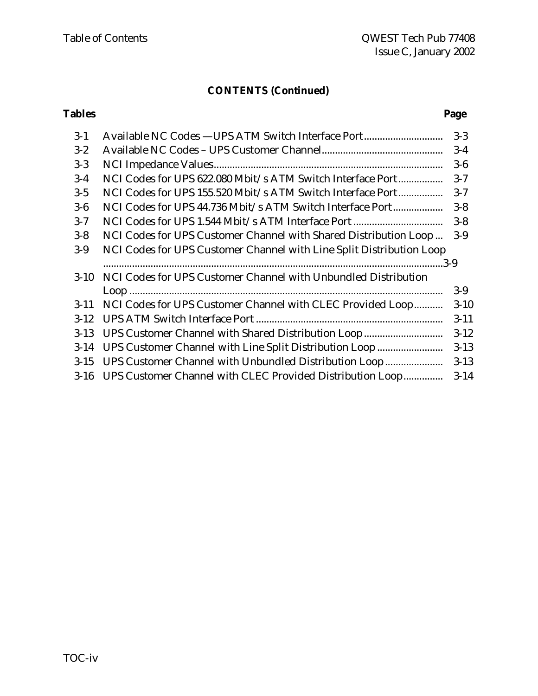# **CONTENTS (Continued)**

#### **Tables Page**

| Available NC Codes - UPS ATM Switch Interface Port                       | $3 - 3$  |
|--------------------------------------------------------------------------|----------|
|                                                                          | $3-4$    |
|                                                                          | $3-6$    |
| NCI Codes for UPS 622.080 Mbit/s ATM Switch Interface Port               | $3 - 7$  |
| NCI Codes for UPS 155.520 Mbit/s ATM Switch Interface Port               | $3 - 7$  |
| NCI Codes for UPS 44.736 Mbit/s ATM Switch Interface Port                | $3 - 8$  |
|                                                                          | $3 - 8$  |
| NCI Codes for UPS Customer Channel with Shared Distribution Loop         | $3-9$    |
| NCI Codes for UPS Customer Channel with Line Split Distribution Loop     |          |
|                                                                          |          |
| NCI Codes for UPS Customer Channel with Unbundled Distribution<br>$3-10$ |          |
| Loop 1.000                                                               | $3-9$    |
| NCI Codes for UPS Customer Channel with CLEC Provided Loop               | $3 - 10$ |
|                                                                          | $3 - 11$ |
|                                                                          |          |
| UPS Customer Channel with Shared Distribution Loop                       | $3-12$   |
| UPS Customer Channel with Line Split Distribution Loop                   | $3 - 13$ |
| UPS Customer Channel with Unbundled Distribution Loop                    | $3 - 13$ |
|                                                                          |          |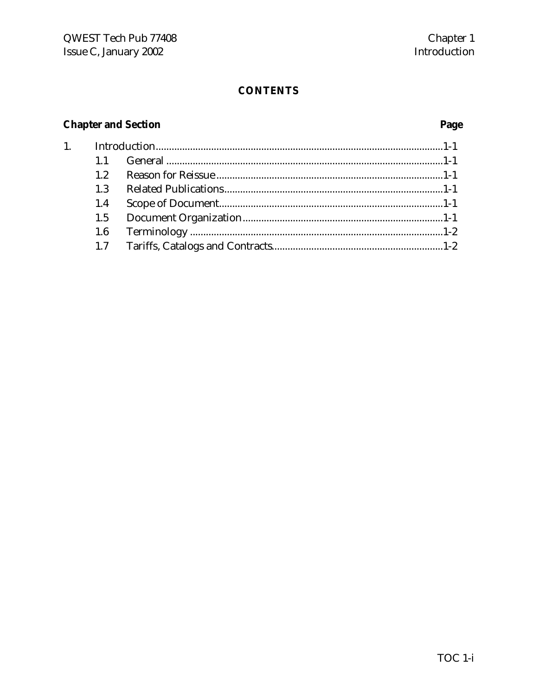# **CONTENTS**

# **Chapter and Section**

 $1.$ 

# Page

| 1.2 |  |
|-----|--|
| 1.3 |  |
| 1.4 |  |
|     |  |
| 1.6 |  |
| 1.7 |  |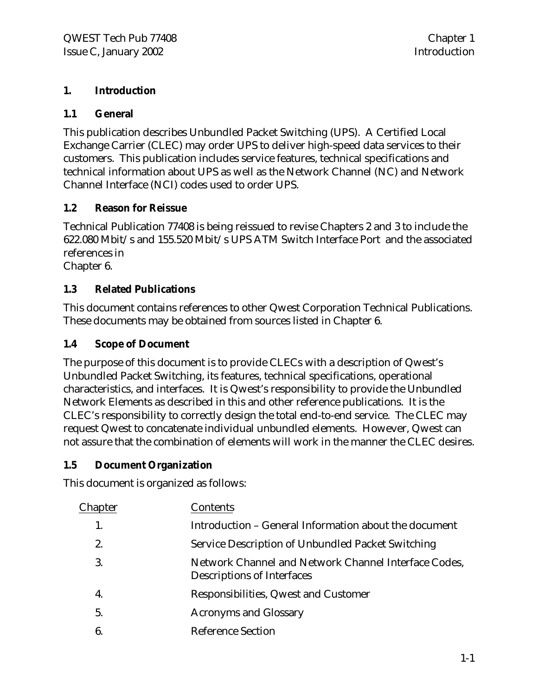#### **1. Introduction**

#### **1.1 General**

This publication describes Unbundled Packet Switching (UPS). A Certified Local Exchange Carrier (CLEC) may order UPS to deliver high-speed data services to their customers. This publication includes service features, technical specifications and technical information about UPS as well as the Network Channel (NC) and Network Channel Interface (NCI) codes used to order UPS.

### **1.2 Reason for Reissue**

Technical Publication 77408 is being reissued to revise Chapters 2 and 3 to include the 622.080 Mbit/s and 155.520 Mbit/s UPS ATM Switch Interface Port and the associated references in

Chapter 6.

### **1.3 Related Publications**

This document contains references to other Qwest Corporation Technical Publications. These documents may be obtained from sources listed in Chapter 6.

#### **1.4 Scope of Document**

The purpose of this document is to provide CLECs with a description of Qwest's Unbundled Packet Switching, its features, technical specifications, operational characteristics, and interfaces. It is Qwest's responsibility to provide the Unbundled Network Elements as described in this and other reference publications. It is the CLEC's responsibility to correctly design the total end-to-end service. The CLEC may request Qwest to concatenate individual unbundled elements. However, Qwest can not assure that the combination of elements will work in the manner the CLEC desires.

#### **1.5 Document Organization**

This document is organized as follows:

| Chapter        | Contents                                                                           |
|----------------|------------------------------------------------------------------------------------|
|                | Introduction – General Information about the document                              |
| $\mathbf{2}$   | Service Description of Unbundled Packet Switching                                  |
| 3.             | Network Channel and Network Channel Interface Codes,<br>Descriptions of Interfaces |
| 4.             | Responsibilities, Qwest and Customer                                               |
| 5 <sub>1</sub> | <b>Acronyms and Glossary</b>                                                       |
| 6 <sub>1</sub> | <b>Reference Section</b>                                                           |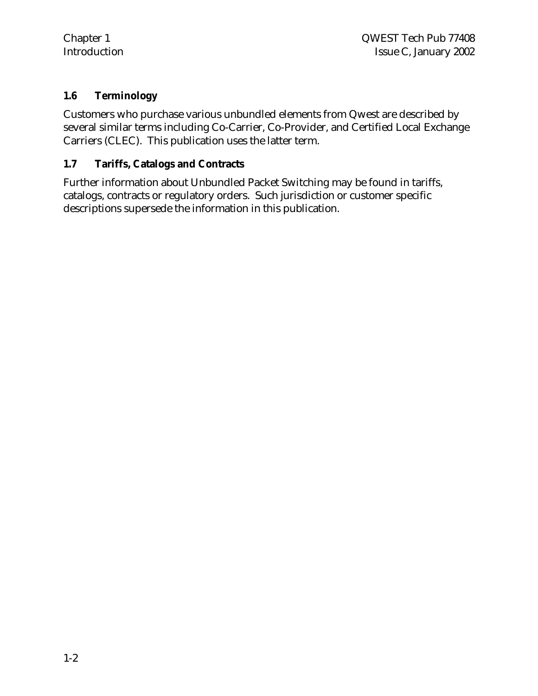#### **1.6 Terminology**

Customers who purchase various unbundled elements from Qwest are described by several similar terms including Co-Carrier, Co-Provider, and Certified Local Exchange Carriers (CLEC). This publication uses the latter term.

#### **1.7 Tariffs, Catalogs and Contracts**

Further information about Unbundled Packet Switching may be found in tariffs, catalogs, contracts or regulatory orders. Such jurisdiction or customer specific descriptions supersede the information in this publication.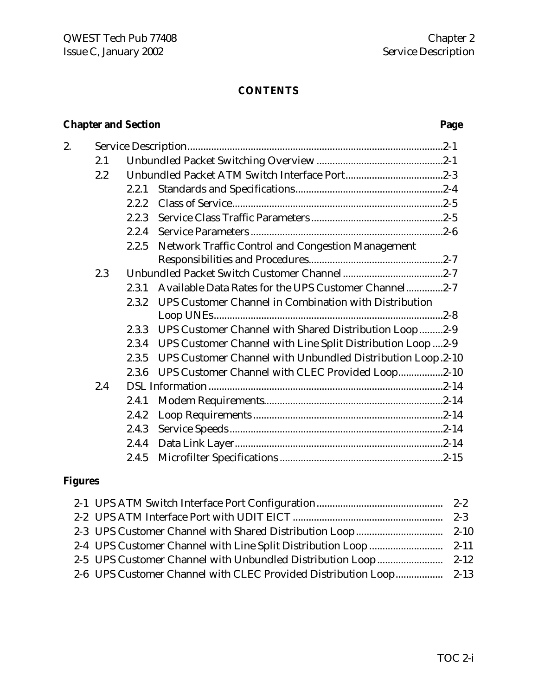# **CONTENTS**

# **Chapter and Section Page**

| 2.1     |       |                                                                                                                                                                                                                                                                                                                                                                                                              |
|---------|-------|--------------------------------------------------------------------------------------------------------------------------------------------------------------------------------------------------------------------------------------------------------------------------------------------------------------------------------------------------------------------------------------------------------------|
| $2.2\,$ |       |                                                                                                                                                                                                                                                                                                                                                                                                              |
|         | 2.2.1 |                                                                                                                                                                                                                                                                                                                                                                                                              |
|         | 2.2.2 |                                                                                                                                                                                                                                                                                                                                                                                                              |
|         | 2.2.3 |                                                                                                                                                                                                                                                                                                                                                                                                              |
|         | 2.2.4 |                                                                                                                                                                                                                                                                                                                                                                                                              |
|         | 2.2.5 |                                                                                                                                                                                                                                                                                                                                                                                                              |
|         |       |                                                                                                                                                                                                                                                                                                                                                                                                              |
| 2.3     |       |                                                                                                                                                                                                                                                                                                                                                                                                              |
|         | 2.3.1 |                                                                                                                                                                                                                                                                                                                                                                                                              |
|         | 2.3.2 |                                                                                                                                                                                                                                                                                                                                                                                                              |
|         |       |                                                                                                                                                                                                                                                                                                                                                                                                              |
|         | 2.3.3 |                                                                                                                                                                                                                                                                                                                                                                                                              |
|         | 2.3.4 |                                                                                                                                                                                                                                                                                                                                                                                                              |
|         | 2.3.5 |                                                                                                                                                                                                                                                                                                                                                                                                              |
|         | 2.3.6 |                                                                                                                                                                                                                                                                                                                                                                                                              |
| 2.4     |       |                                                                                                                                                                                                                                                                                                                                                                                                              |
|         | 2.4.1 |                                                                                                                                                                                                                                                                                                                                                                                                              |
|         | 2.4.2 |                                                                                                                                                                                                                                                                                                                                                                                                              |
|         | 2.4.3 |                                                                                                                                                                                                                                                                                                                                                                                                              |
|         | 2.4.4 |                                                                                                                                                                                                                                                                                                                                                                                                              |
|         | 2.4.5 |                                                                                                                                                                                                                                                                                                                                                                                                              |
|         |       | Network Traffic Control and Congestion Management<br>Available Data Rates for the UPS Customer Channel2-7<br>UPS Customer Channel in Combination with Distribution<br>UPS Customer Channel with Shared Distribution Loop2-9<br>UPS Customer Channel with Line Split Distribution Loop  2-9<br>UPS Customer Channel with Unbundled Distribution Loop.2-10<br>UPS Customer Channel with CLEC Provided Loop2-10 |

# **Figures**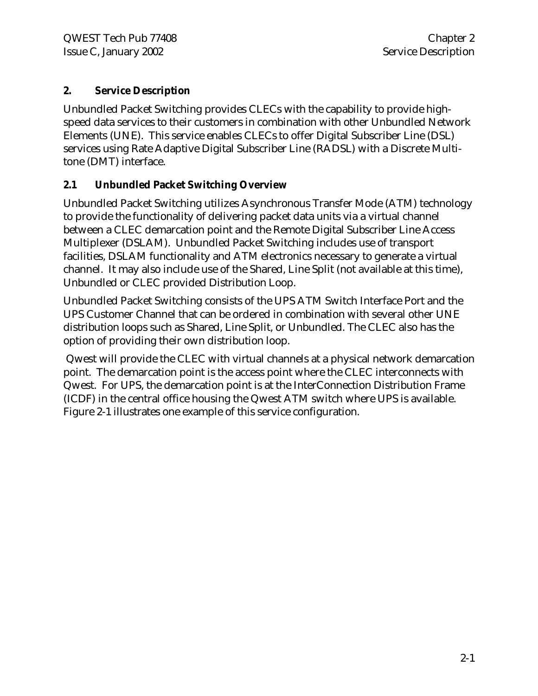### **2. Service Description**

Unbundled Packet Switching provides CLECs with the capability to provide highspeed data services to their customers in combination with other Unbundled Network Elements (UNE). This service enables CLECs to offer Digital Subscriber Line (DSL) services using Rate Adaptive Digital Subscriber Line (RADSL) with a Discrete Multitone (DMT) interface.

# **2.1 Unbundled Packet Switching Overview**

Unbundled Packet Switching utilizes Asynchronous Transfer Mode (ATM) technology to provide the functionality of delivering packet data units via a virtual channel between a CLEC demarcation point and the Remote Digital Subscriber Line Access Multiplexer (DSLAM). Unbundled Packet Switching includes use of transport facilities, DSLAM functionality and ATM electronics necessary to generate a virtual channel. It may also include use of the Shared, Line Split (not available at this time), Unbundled or CLEC provided Distribution Loop.

Unbundled Packet Switching consists of the UPS ATM Switch Interface Port and the UPS Customer Channel that can be ordered in combination with several other UNE distribution loops such as Shared, Line Split, or Unbundled. The CLEC also has the option of providing their own distribution loop.

 Qwest will provide the CLEC with virtual channels at a physical network demarcation point. The demarcation point is the access point where the CLEC interconnects with Qwest. For UPS, the demarcation point is at the InterConnection Distribution Frame (ICDF) in the central office housing the Qwest ATM switch where UPS is available. Figure 2-1 illustrates one example of this service configuration.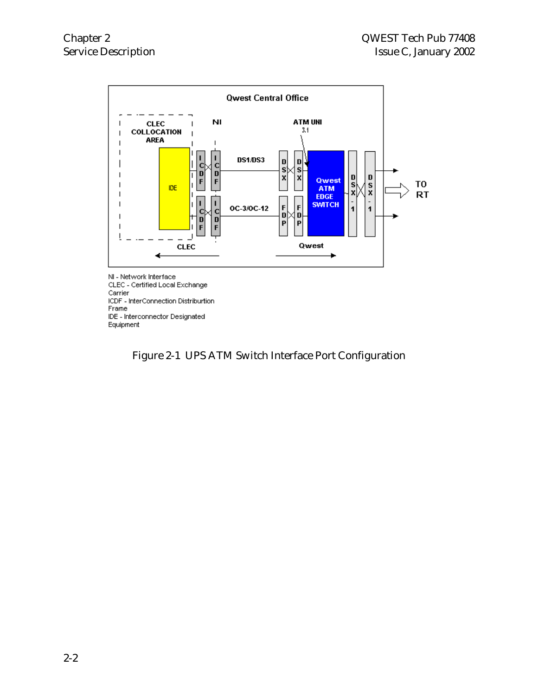

NI - Network Interface CLEC - Certified Local Exchange Carrier<br>Carrier<br>ICDF - InterConnection Distriburtion Frame IDE - Interconnector Designated Equipment

Figure 2-1 UPS ATM Switch Interface Port Configuration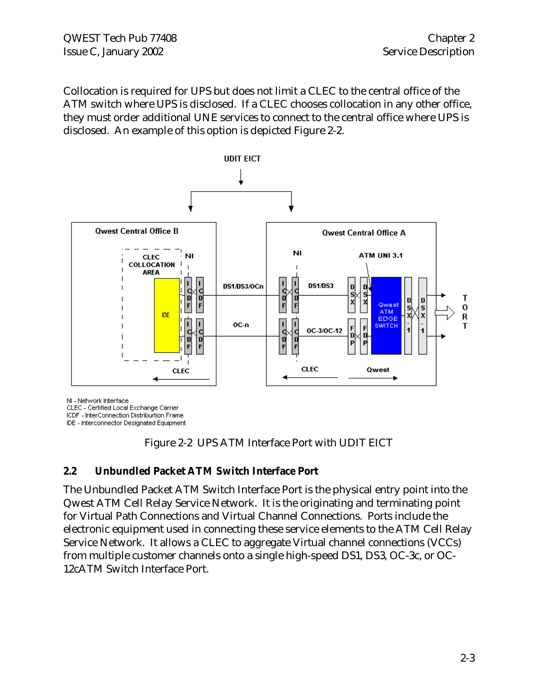Collocation is required for UPS but does not limit a CLEC to the central office of the ATM switch where UPS is disclosed. If a CLEC chooses collocation in any other office, they must order additional UNE services to connect to the central office where UPS is disclosed. An example of this option is depicted Figure 2-2.



NI - Network Interface

CLEC - Certified Local Exchange Carrier

ICDF - InterConnection Distriburtion Frame

IDE - Interconnector Designated Equipment



#### **2.2 Unbundled Packet ATM Switch Interface Port**

The Unbundled Packet ATM Switch Interface Port is the physical entry point into the Qwest ATM Cell Relay Service Network. It is the originating and terminating point for Virtual Path Connections and Virtual Channel Connections. Ports include the electronic equipment used in connecting these service elements to the ATM Cell Relay Service Network. It allows a CLEC to aggregate Virtual channel connections (VCCs) from multiple customer channels onto a single high-speed DS1, DS3, OC-3c, or OC-12cATM Switch Interface Port.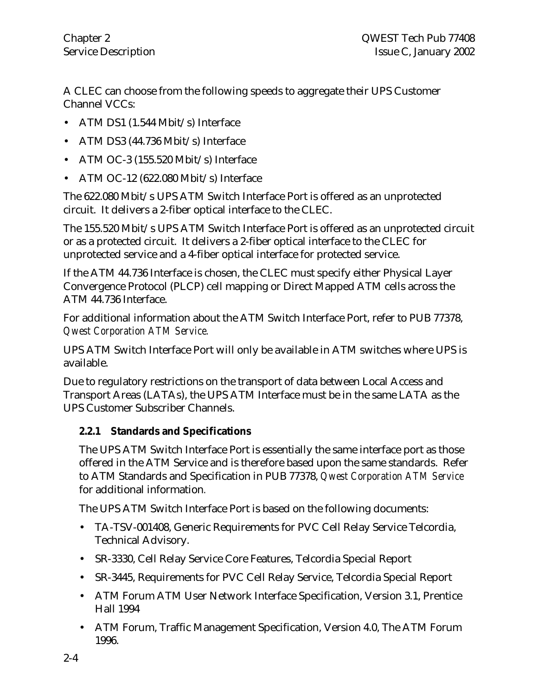A CLEC can choose from the following speeds to aggregate their UPS Customer Channel VCCs:

- ATM DS1 (1.544 Mbit/s) Interface
- ATM DS3 (44.736 Mbit/s) Interface
- ATM OC-3 (155.520 Mbit/s) Interface
- ATM OC-12 (622.080 Mbit/s) Interface

The 622.080 Mbit/s UPS ATM Switch Interface Port is offered as an unprotected circuit. It delivers a 2-fiber optical interface to the CLEC.

The 155.520 Mbit/s UPS ATM Switch Interface Port is offered as an unprotected circuit or as a protected circuit. It delivers a 2-fiber optical interface to the CLEC for unprotected service and a 4-fiber optical interface for protected service.

If the ATM 44.736 Interface is chosen, the CLEC must specify either Physical Layer Convergence Protocol (PLCP) cell mapping or Direct Mapped ATM cells across the ATM 44.736 Interface.

For additional information about the ATM Switch Interface Port, refer to PUB 77378, *Qwest Corporation ATM Service.*

UPS ATM Switch Interface Port will only be available in ATM switches where UPS is available.

Due to regulatory restrictions on the transport of data between Local Access and Transport Areas (LATAs), the UPS ATM Interface must be in the same LATA as the UPS Customer Subscriber Channels.

# **2.2.1 Standards and Specifications**

The UPS ATM Switch Interface Port is essentially the same interface port as those offered in the ATM Service and is therefore based upon the same standards. Refer to ATM Standards and Specification in PUB 77378, *Qwest Corporation ATM Service* for additional information*.*

The UPS ATM Switch Interface Port is based on the following documents:

- TA-TSV-001408, Generic Requirements for PVC Cell Relay Service Telcordia, Technical Advisory.
- SR-3330, Cell Relay Service Core Features, Telcordia Special Report
- SR-3445, Requirements for PVC Cell Relay Service, Telcordia Special Report
- ATM Forum ATM User Network Interface Specification, Version 3.1, Prentice Hall 1994
- ATM Forum, Traffic Management Specification, Version 4.0, The ATM Forum 1996.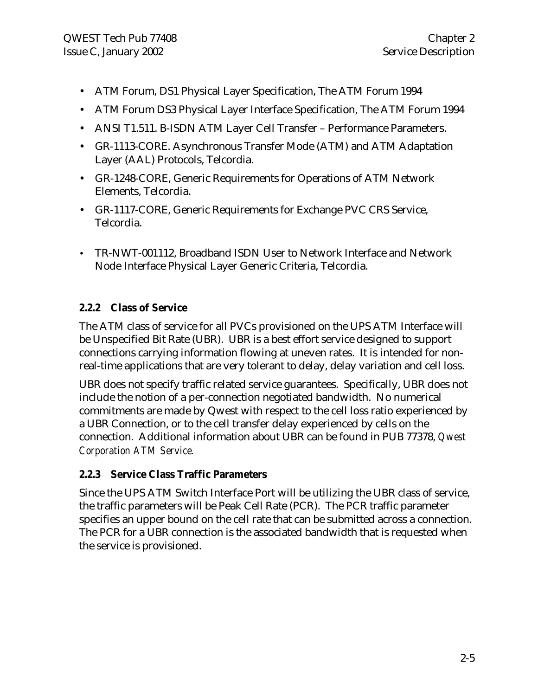- ATM Forum, DS1 Physical Layer Specification, The ATM Forum 1994
- ATM Forum DS3 Physical Layer Interface Specification, The ATM Forum 1994
- ANSI T1.511. B-ISDN ATM Layer Cell Transfer Performance Parameters.
- GR-1113-CORE. Asynchronous Transfer Mode (ATM) and ATM Adaptation Layer (AAL) Protocols, Telcordia.
- GR-1248-CORE, Generic Requirements for Operations of ATM Network Elements, Telcordia.
- GR-1117-CORE, Generic Requirements for Exchange PVC CRS Service, Telcordia.
- TR-NWT-001112, Broadband ISDN User to Network Interface and Network Node Interface Physical Layer Generic Criteria, Telcordia.

# **2.2.2 Class of Service**

The ATM class of service for all PVCs provisioned on the UPS ATM Interface will be Unspecified Bit Rate (UBR). UBR is a best effort service designed to support connections carrying information flowing at uneven rates. It is intended for nonreal-time applications that are very tolerant to delay, delay variation and cell loss.

UBR does not specify traffic related service guarantees. Specifically, UBR does not include the notion of a per-connection negotiated bandwidth. No numerical commitments are made by Qwest with respect to the cell loss ratio experienced by a UBR Connection, or to the cell transfer delay experienced by cells on the connection. Additional information about UBR can be found in PUB 77378, *Qwest Corporation ATM Service.*

### **2.2.3 Service Class Traffic Parameters**

Since the UPS ATM Switch Interface Port will be utilizing the UBR class of service, the traffic parameters will be Peak Cell Rate (PCR). The PCR traffic parameter specifies an upper bound on the cell rate that can be submitted across a connection. The PCR for a UBR connection is the associated bandwidth that is requested when the service is provisioned.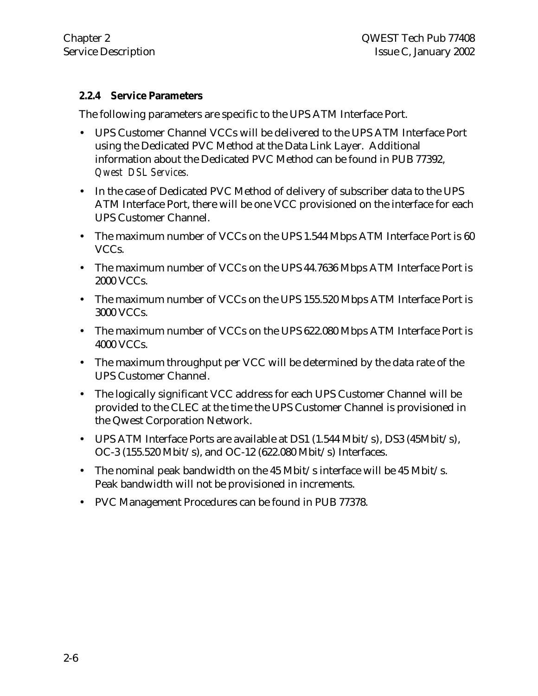#### **2.2.4 Service Parameters**

The following parameters are specific to the UPS ATM Interface Port.

- UPS Customer Channel VCCs will be delivered to the UPS ATM Interface Port using the Dedicated PVC Method at the Data Link Layer. Additional information about the Dedicated PVC Method can be found in PUB 77392, *Qwest DSL Services.*
- In the case of Dedicated PVC Method of delivery of subscriber data to the UPS ATM Interface Port, there will be one VCC provisioned on the interface for each UPS Customer Channel.
- The maximum number of VCCs on the UPS 1.544 Mbps ATM Interface Port is 60 VCCs.
- The maximum number of VCCs on the UPS 44.7636 Mbps ATM Interface Port is 2000 VCCs.
- The maximum number of VCCs on the UPS 155.520 Mbps ATM Interface Port is 3000 VCCs.
- The maximum number of VCCs on the UPS 622.080 Mbps ATM Interface Port is 4000 VCCs.
- The maximum throughput per VCC will be determined by the data rate of the UPS Customer Channel.
- The logically significant VCC address for each UPS Customer Channel will be provided to the CLEC at the time the UPS Customer Channel is provisioned in the Qwest Corporation Network.
- UPS ATM Interface Ports are available at DS1 (1.544 Mbit/s), DS3 (45Mbit/s), OC-3 (155.520 Mbit/s), and OC-12 (622.080 Mbit/s) Interfaces.
- The nominal peak bandwidth on the 45 Mbit/s interface will be 45 Mbit/s. Peak bandwidth will not be provisioned in increments.
- PVC Management Procedures can be found in PUB 77378.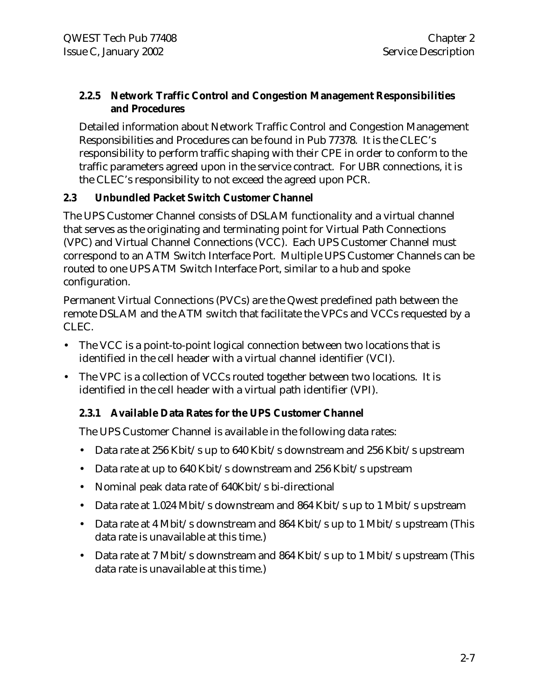#### **2.2.5 Network Traffic Control and Congestion Management Responsibilities and Procedures**

Detailed information about Network Traffic Control and Congestion Management Responsibilities and Procedures can be found in Pub 77378. It is the CLEC's responsibility to perform traffic shaping with their CPE in order to conform to the traffic parameters agreed upon in the service contract. For UBR connections, it is the CLEC's responsibility to not exceed the agreed upon PCR.

### **2.3 Unbundled Packet Switch Customer Channel**

The UPS Customer Channel consists of DSLAM functionality and a virtual channel that serves as the originating and terminating point for Virtual Path Connections (VPC) and Virtual Channel Connections (VCC). Each UPS Customer Channel must correspond to an ATM Switch Interface Port. Multiple UPS Customer Channels can be routed to one UPS ATM Switch Interface Port, similar to a hub and spoke configuration.

Permanent Virtual Connections (PVCs) are the Qwest predefined path between the remote DSLAM and the ATM switch that facilitate the VPCs and VCCs requested by a CLEC.

- The VCC is a point-to-point logical connection between two locations that is identified in the cell header with a virtual channel identifier (VCI).
- The VPC is a collection of VCCs routed together between two locations. It is identified in the cell header with a virtual path identifier (VPI).

### **2.3.1 Available Data Rates for the UPS Customer Channel**

The UPS Customer Channel is available in the following data rates:

- Data rate at 256 Kbit/s up to 640 Kbit/s downstream and 256 Kbit/s upstream
- Data rate at up to 640 Kbit/s downstream and 256 Kbit/s upstream
- Nominal peak data rate of 640Kbit/s bi-directional
- Data rate at 1.024 Mbit/s downstream and 864 Kbit/s up to 1 Mbit/s upstream
- Data rate at 4 Mbit/s downstream and 864 Kbit/s up to 1 Mbit/s upstream (This data rate is unavailable at this time.)
- Data rate at 7 Mbit/s downstream and 864 Kbit/s up to 1 Mbit/s upstream (This data rate is unavailable at this time.)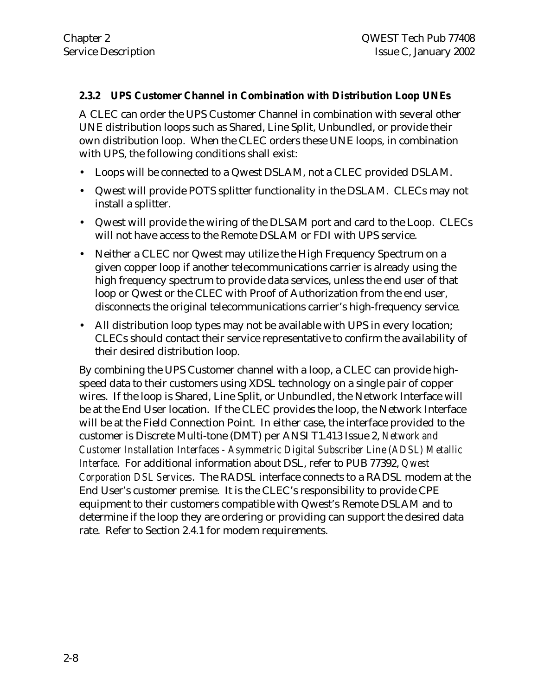#### **2.3.2 UPS Customer Channel in Combination with Distribution Loop UNEs**

A CLEC can order the UPS Customer Channel in combination with several other UNE distribution loops such as Shared, Line Split, Unbundled, or provide their own distribution loop. When the CLEC orders these UNE loops, in combination with UPS, the following conditions shall exist:

- Loops will be connected to a Qwest DSLAM, not a CLEC provided DSLAM.
- Qwest will provide POTS splitter functionality in the DSLAM. CLECs may not install a splitter.
- Qwest will provide the wiring of the DLSAM port and card to the Loop. CLECs will not have access to the Remote DSLAM or FDI with UPS service.
- Neither a CLEC nor Qwest may utilize the High Frequency Spectrum on a given copper loop if another telecommunications carrier is already using the high frequency spectrum to provide data services, unless the end user of that loop or Qwest or the CLEC with Proof of Authorization from the end user, disconnects the original telecommunications carrier's high-frequency service.
- All distribution loop types may not be available with UPS in every location; CLECs should contact their service representative to confirm the availability of their desired distribution loop.

By combining the UPS Customer channel with a loop, a CLEC can provide highspeed data to their customers using XDSL technology on a single pair of copper wires. If the loop is Shared, Line Split, or Unbundled, the Network Interface will be at the End User location. If the CLEC provides the loop, the Network Interface will be at the Field Connection Point. In either case, the interface provided to the customer is Discrete Multi-tone (DMT) per ANSI T1.413 Issue 2, *Network and Customer Installation Interfaces - Asymmetric Digital Subscriber Line (ADSL) Metallic Interface*. For additional information about DSL, refer to PUB 77392, *Qwest Corporation DSL Services*. The RADSL interface connects to a RADSL modem at the End User's customer premise. It is the CLEC's responsibility to provide CPE equipment to their customers compatible with Qwest's Remote DSLAM and to determine if the loop they are ordering or providing can support the desired data rate. Refer to Section 2.4.1 for modem requirements.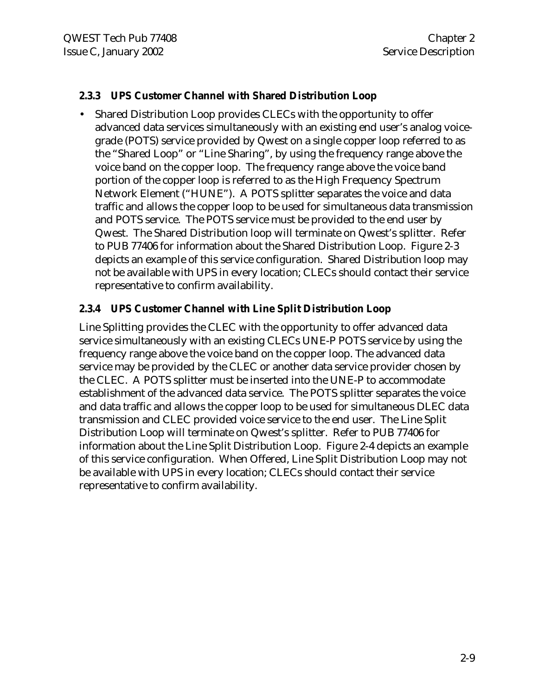#### **2.3.3 UPS Customer Channel with Shared Distribution Loop**

• Shared Distribution Loop provides CLECs with the opportunity to offer advanced data services simultaneously with an existing end user's analog voicegrade (POTS) service provided by Qwest on a single copper loop referred to as the "Shared Loop" or "Line Sharing", by using the frequency range above the voice band on the copper loop. The frequency range above the voice band portion of the copper loop is referred to as the High Frequency Spectrum Network Element ("HUNE"). A POTS splitter separates the voice and data traffic and allows the copper loop to be used for simultaneous data transmission and POTS service. The POTS service must be provided to the end user by Qwest. The Shared Distribution loop will terminate on Qwest's splitter. Refer to PUB 77406 for information about the Shared Distribution Loop. Figure 2-3 depicts an example of this service configuration. Shared Distribution loop may not be available with UPS in every location; CLECs should contact their service representative to confirm availability.

#### **2.3.4 UPS Customer Channel with Line Split Distribution Loop**

Line Splitting provides the CLEC with the opportunity to offer advanced data service simultaneously with an existing CLECs UNE-P POTS service by using the frequency range above the voice band on the copper loop. The advanced data service may be provided by the CLEC or another data service provider chosen by the CLEC. A POTS splitter must be inserted into the UNE-P to accommodate establishment of the advanced data service. The POTS splitter separates the voice and data traffic and allows the copper loop to be used for simultaneous DLEC data transmission and CLEC provided voice service to the end user. The Line Split Distribution Loop will terminate on Qwest's splitter. Refer to PUB 77406 for information about the Line Split Distribution Loop. Figure 2-4 depicts an example of this service configuration. When Offered, Line Split Distribution Loop may not be available with UPS in every location; CLECs should contact their service representative to confirm availability.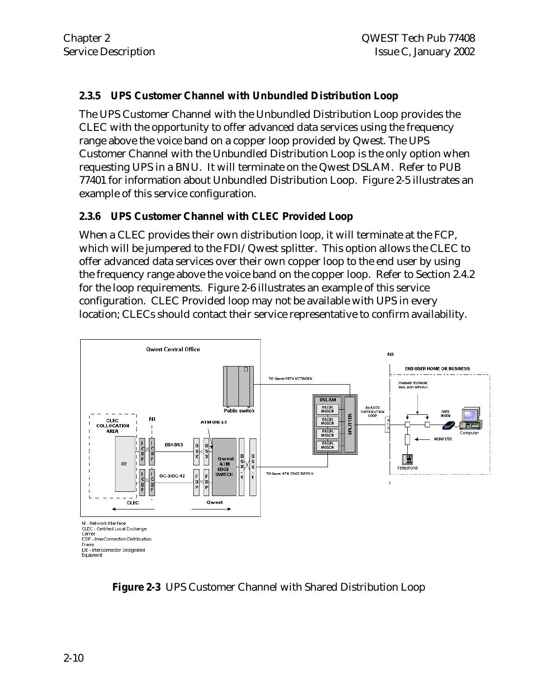#### **2.3.5 UPS Customer Channel with Unbundled Distribution Loop**

The UPS Customer Channel with the Unbundled Distribution Loop provides the CLEC with the opportunity to offer advanced data services using the frequency range above the voice band on a copper loop provided by Qwest. The UPS Customer Channel with the Unbundled Distribution Loop is the only option when requesting UPS in a BNU. It will terminate on the Qwest DSLAM.Refer to PUB 77401 for information about Unbundled Distribution Loop. Figure 2-5 illustrates an example of this service configuration.

#### **2.3.6 UPS Customer Channel with CLEC Provided Loop**

When a CLEC provides their own distribution loop, it will terminate at the FCP, which will be jumpered to the FDI/Qwest splitter. This option allows the CLEC to offer advanced data services over their own copper loop to the end user by using the frequency range above the voice band on the copper loop. Refer to Section 2.4.2 for the loop requirements. Figure 2-6 illustrates an example of this service configuration. CLEC Provided loop may not be available with UPS in every location; CLECs should contact their service representative to confirm availability.



**Figure 2-3** UPS Customer Channel with Shared Distribution Loop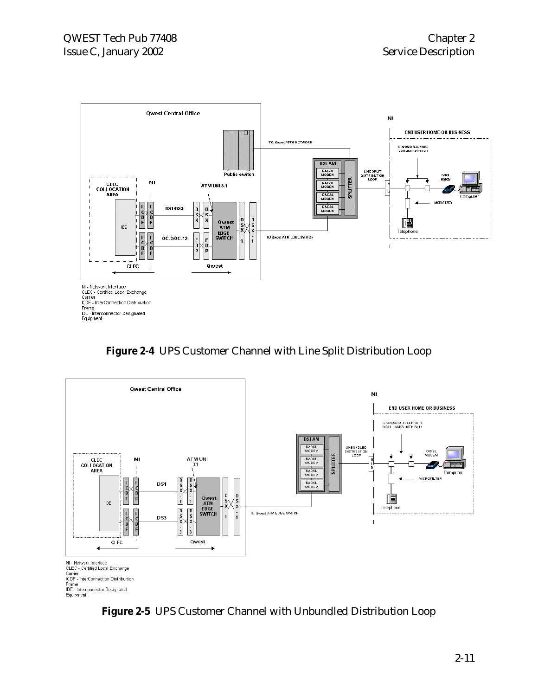

**Figure 2-4** UPS Customer Channel with Line Split Distribution Loop



**Figure 2-5** UPS Customer Channel with Unbundled Distribution Loop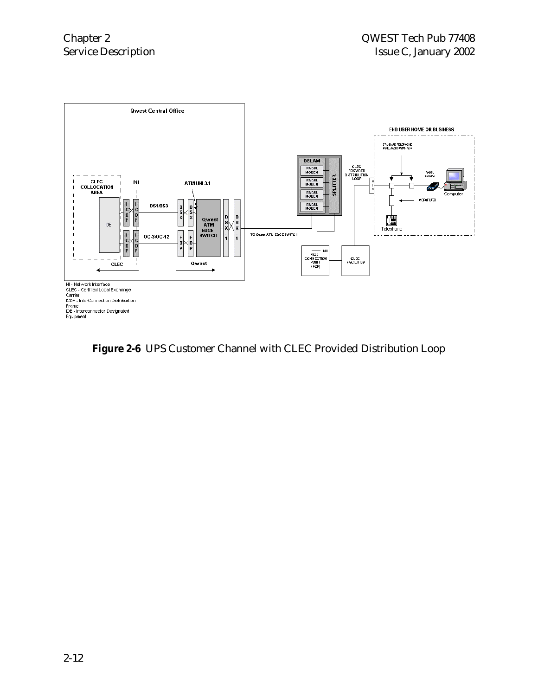

**Figure 2-6** UPS Customer Channel with CLEC Provided Distribution Loop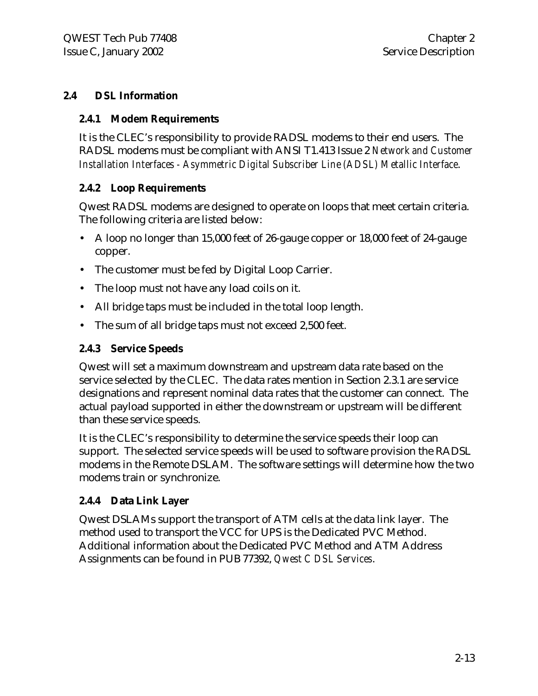#### **2.4 DSL Information**

#### **2.4.1 Modem Requirements**

It is the CLEC's responsibility to provide RADSL modems to their end users. The RADSL modems must be compliant with ANSI T1.413 Issue 2 *Network and Customer Installation Interfaces - Asymmetric Digital Subscriber Line (ADSL) Metallic Interface*.

#### **2.4.2 Loop Requirements**

Qwest RADSL modems are designed to operate on loops that meet certain criteria. The following criteria are listed below:

- A loop no longer than 15,000 feet of 26-gauge copper or 18,000 feet of 24-gauge copper.
- The customer must be fed by Digital Loop Carrier.
- The loop must not have any load coils on it.
- All bridge taps must be included in the total loop length.
- The sum of all bridge taps must not exceed 2,500 feet.

#### **2.4.3 Service Speeds**

Qwest will set a maximum downstream and upstream data rate based on the service selected by the CLEC. The data rates mention in Section 2.3.1 are service designations and represent nominal data rates that the customer can connect. The actual payload supported in either the downstream or upstream will be different than these service speeds.

It is the CLEC's responsibility to determine the service speeds their loop can support. The selected service speeds will be used to software provision the RADSL modems in the Remote DSLAM. The software settings will determine how the two modems train or synchronize.

#### **2.4.4 Data Link Layer**

Qwest DSLAMs support the transport of ATM cells at the data link layer. The method used to transport the VCC for UPS is the Dedicated PVC Method. Additional information about the Dedicated PVC Method and ATM Address Assignments can be found in PUB 77392, *Qwest C DSL Services*.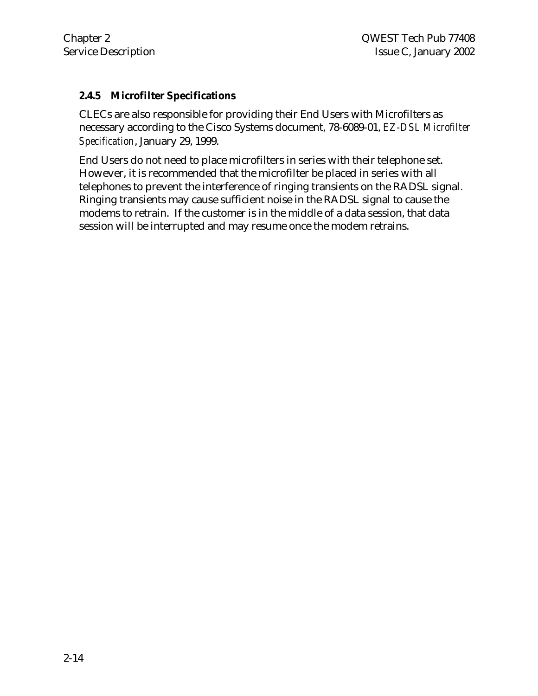#### **2.4.5 Microfilter Specifications**

CLECs are also responsible for providing their End Users with Microfilters as necessary according to the Cisco Systems document, 78-6089-01, *EZ-DSL Microfilter Specification*, January 29, 1999.

End Users do not need to place microfilters in series with their telephone set. However, it is recommended that the microfilter be placed in series with all telephones to prevent the interference of ringing transients on the RADSL signal. Ringing transients may cause sufficient noise in the RADSL signal to cause the modems to retrain. If the customer is in the middle of a data session, that data session will be interrupted and may resume once the modem retrains.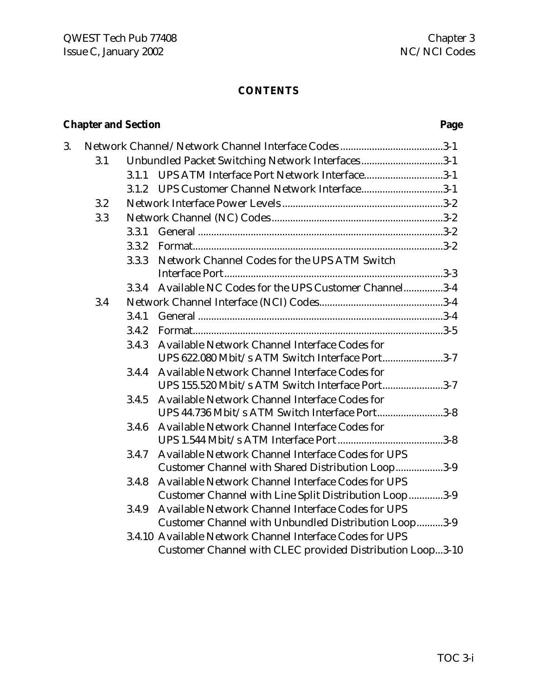### **CONTENTS**

# **Chapter and Section Page**

| 3. |     |       |                                                           |
|----|-----|-------|-----------------------------------------------------------|
|    | 3.1 |       | Unbundled Packet Switching Network Interfaces3-1          |
|    |     |       | 3.1.1 UPS ATM Interface Port Network Interface3-1         |
|    |     |       | 3.1.2 UPS Customer Channel Network Interface3-1           |
|    | 3.2 |       |                                                           |
|    | 3.3 |       |                                                           |
|    |     | 3.3.1 |                                                           |
|    |     | 3.3.2 |                                                           |
|    |     | 3.3.3 | Network Channel Codes for the UPS ATM Switch              |
|    |     |       |                                                           |
|    |     | 3.3.4 | Available NC Codes for the UPS Customer Channel3-4        |
|    | 3.4 |       |                                                           |
|    |     | 3.4.1 |                                                           |
|    |     | 3.4.2 |                                                           |
|    |     | 3.4.3 | Available Network Channel Interface Codes for             |
|    |     |       | UPS 622.080 Mbit/s ATM Switch Interface Port3-7           |
|    |     | 3.4.4 | Available Network Channel Interface Codes for             |
|    |     |       | UPS 155.520 Mbit/s ATM Switch Interface Port3-7           |
|    |     | 3.4.5 | Available Network Channel Interface Codes for             |
|    |     |       | UPS 44.736 Mbit/s ATM Switch Interface Port3-8            |
|    |     | 3.4.6 | Available Network Channel Interface Codes for             |
|    |     |       |                                                           |
|    |     | 3.4.7 | Available Network Channel Interface Codes for UPS         |
|    |     |       | Customer Channel with Shared Distribution Loop3-9         |
|    |     | 3.4.8 | Available Network Channel Interface Codes for UPS         |
|    |     |       | Customer Channel with Line Split Distribution Loop3-9     |
|    |     | 3.4.9 | Available Network Channel Interface Codes for UPS         |
|    |     |       | Customer Channel with Unbundled Distribution Loop3-9      |
|    |     |       | 3.4.10 Available Network Channel Interface Codes for UPS  |
|    |     |       | Customer Channel with CLEC provided Distribution Loop3-10 |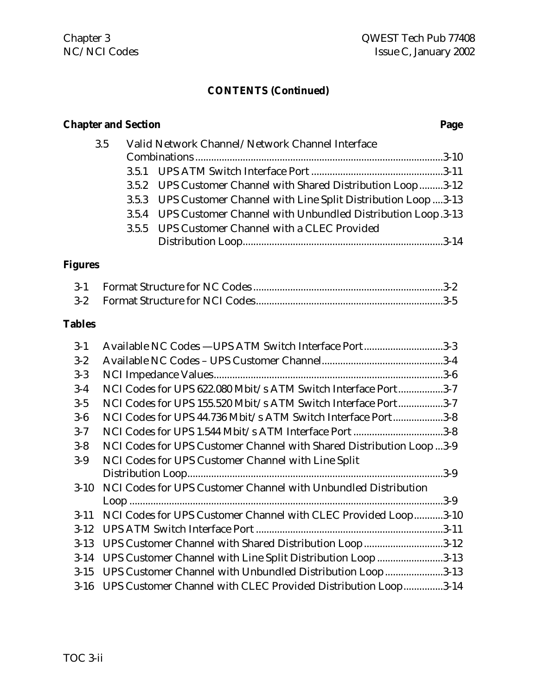#### **CONTENTS (Continued)**

# **Chapter and Section Page** 3.5 Valid Network Channel/Network Channel Interface Combinations ..............................................................................................3-10 3.5.1 UPS ATM Switch Interface Port ..................................................3-11 3.5.2 UPS Customer Channel with Shared Distribution Loop.........3-12 3.5.3 UPS Customer Channel with Line Split Distribution Loop ....3-13 3.5.4 UPS Customer Channel with Unbundled Distribution Loop.3-13 3.5.5 UPS Customer Channel with a CLEC Provided Distribution Loop............................................................................3-14

#### **Figures**

#### **Tables**

| Available NC Codes -UPS ATM Switch Interface Port3-3<br>$3-1$                  |  |
|--------------------------------------------------------------------------------|--|
| $3 - 2$                                                                        |  |
| $3-3$                                                                          |  |
| NCI Codes for UPS 622.080 Mbit/s ATM Switch Interface Port3-7<br>$3-4$         |  |
| NCI Codes for UPS 155.520 Mbit/s ATM Switch Interface Port3-7<br>$3-5$         |  |
| NCI Codes for UPS 44.736 Mbit/s ATM Switch Interface Port3-8<br>$3-6$          |  |
| NCI Codes for UPS 1.544 Mbit/s ATM Interface Port 3-8<br>$3 - 7$               |  |
| NCI Codes for UPS Customer Channel with Shared Distribution Loop3-9<br>$3 - 8$ |  |
| NCI Codes for UPS Customer Channel with Line Split<br>$3-9$                    |  |
|                                                                                |  |
| 3-10 NCI Codes for UPS Customer Channel with Unbundled Distribution            |  |
|                                                                                |  |
| 3-11 NCI Codes for UPS Customer Channel with CLEC Provided Loop3-10            |  |
|                                                                                |  |
| UPS Customer Channel with Shared Distribution Loop3-12<br>$3-13$               |  |
| 3-14 UPS Customer Channel with Line Split Distribution Loop 3-13               |  |
| UPS Customer Channel with Unbundled Distribution Loop3-13<br>$3 - 15$          |  |
| UPS Customer Channel with CLEC Provided Distribution Loop3-14<br>$3 - 16$      |  |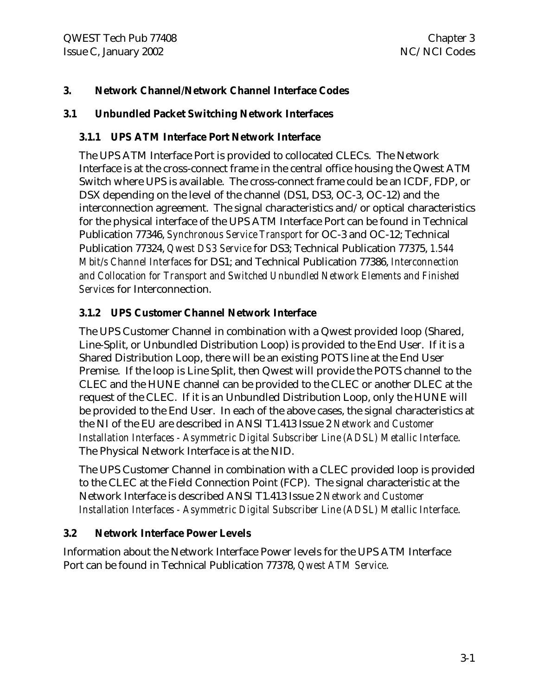#### **3. Network Channel/Network Channel Interface Codes**

#### **3.1 Unbundled Packet Switching Network Interfaces**

#### **3.1.1 UPS ATM Interface Port Network Interface**

The UPS ATM Interface Port is provided to collocated CLECs. The Network Interface is at the cross-connect frame in the central office housing the Qwest ATM Switch where UPS is available. The cross-connect frame could be an ICDF, FDP, or DSX depending on the level of the channel (DS1, DS3, OC-3, OC-12) and the interconnection agreement. The signal characteristics and/or optical characteristics for the physical interface of the UPS ATM Interface Port can be found in Technical Publication 77346, *Synchronous Service Transport* for OC-3 and OC-12; Technical Publication 77324, *Qwest DS3 Service* for DS3; Technical Publication 77375, *1.544 Mbit/s Channel Interfaces* for DS1; and Technical Publication 77386, *Interconnection and Collocation for Transport and Switched Unbundled Network Elements and Finished Services* for Interconnection.

### **3.1.2 UPS Customer Channel Network Interface**

The UPS Customer Channel in combination with a Qwest provided loop (Shared, Line-Split, or Unbundled Distribution Loop) is provided to the End User. If it is a Shared Distribution Loop, there will be an existing POTS line at the End User Premise. If the loop is Line Split, then Qwest will provide the POTS channel to the CLEC and the HUNE channel can be provided to the CLEC or another DLEC at the request of the CLEC. If it is an Unbundled Distribution Loop, only the HUNE will be provided to the End User. In each of the above cases, the signal characteristics at the NI of the EU are described in ANSI T1.413 Issue 2 *Network and Customer Installation Interfaces - Asymmetric Digital Subscriber Line (ADSL) Metallic Interface*. The Physical Network Interface is at the NID.

The UPS Customer Channel in combination with a CLEC provided loop is provided to the CLEC at the Field Connection Point (FCP). The signal characteristic at the Network Interface is described ANSI T1.413 Issue 2 *Network and Customer Installation Interfaces - Asymmetric Digital Subscriber Line (ADSL) Metallic Interface*.

### **3.2 Network Interface Power Levels**

Information about the Network Interface Power levels for the UPS ATM Interface Port can be found in Technical Publication 77378, *Qwest ATM Service*.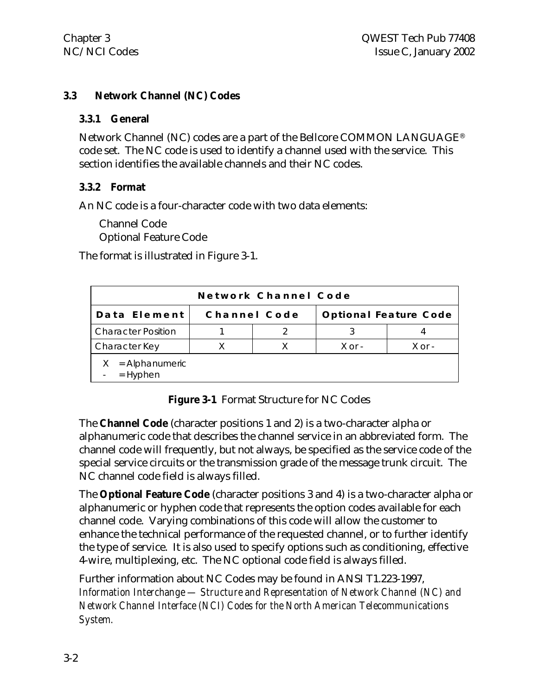#### **3.3 Network Channel (NC) Codes**

#### **3.3.1 General**

Network Channel (NC) codes are a part of the Bellcore COMMON LANGUAGE® code set. The NC code is used to identify a channel used with the service. This section identifies the available channels and their NC codes.

#### **3.3.2 Format**

An NC code is a four-character code with two data elements:

Channel Code Optional Feature Code

The format is illustrated in Figure 3-1.

| Network Channel Code         |              |  |                              |            |  |  |
|------------------------------|--------------|--|------------------------------|------------|--|--|
| Data Element                 | Channel Code |  | <b>Optional Feature Code</b> |            |  |  |
| <b>Character Position</b>    |              |  |                              |            |  |  |
| Character Key                |              |  | $X$ or -                     | $X$ or $-$ |  |  |
| = Alphanumeric<br>$=$ Hyphen |              |  |                              |            |  |  |

**Figure 3-1** Format Structure for NC Codes

The **Channel Code** (character positions 1 and 2) is a two-character alpha or alphanumeric code that describes the channel service in an abbreviated form. The channel code will frequently, but not always, be specified as the service code of the special service circuits or the transmission grade of the message trunk circuit. The NC channel code field is always filled.

The **Optional Feature Code** (character positions 3 and 4) is a two-character alpha or alphanumeric or hyphen code that represents the option codes available for each channel code. Varying combinations of this code will allow the customer to enhance the technical performance of the requested channel, or to further identify the type of service. It is also used to specify options such as conditioning, effective 4-wire, multiplexing, etc. The NC optional code field is always filled.

Further information about NC Codes may be found in ANSI T1.223-1997, *Information Interchange — Structure and Representation of Network Channel (NC) and Network Channel Interface (NCI) Codes for the North American Telecommunications System.*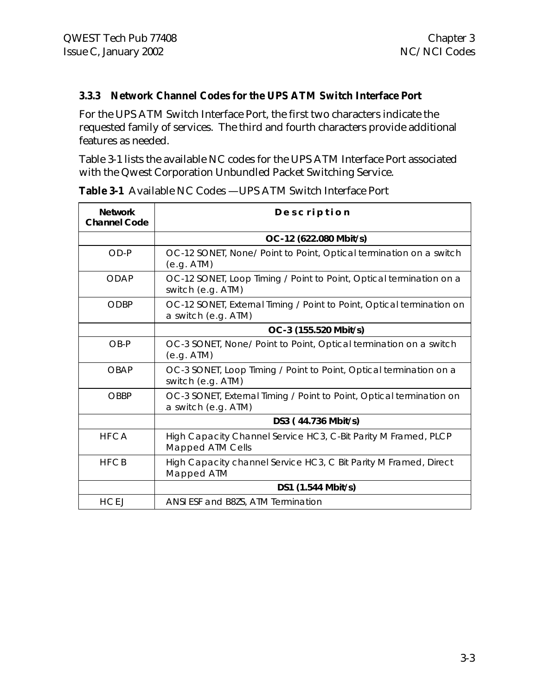#### **3.3.3 Network Channel Codes for the UPS ATM Switch Interface Port**

For the UPS ATM Switch Interface Port, the first two characters indicate the requested family of services. The third and fourth characters provide additional features as needed.

Table 3-1 lists the available NC codes for the UPS ATM Interface Port associated with the Qwest Corporation Unbundled Packet Switching Service.

| <b>Network</b><br><b>Channel Code</b> | Description                                                                                  |
|---------------------------------------|----------------------------------------------------------------------------------------------|
|                                       | OC-12 (622.080 Mbit/s)                                                                       |
| $OD-P$                                | OC-12 SONET, None/ Point to Point, Optical termination on a switch<br>(e.g. ATM)             |
| <b>ODAP</b>                           | OC-12 SONET, Loop Timing / Point to Point, Optical termination on a<br>switch (e.g. ATM)     |
| ODBP                                  | OC-12 SONET, External Timing / Point to Point, Optical termination on<br>a switch (e.g. ATM) |
|                                       | OC-3 (155.520 Mbit/s)                                                                        |
| $OB-P$                                | OC-3 SONET, None/ Point to Point, Optical termination on a switch<br>(e.g. ATM)              |
| <b>OBAP</b>                           | OC-3 SONET, Loop Timing / Point to Point, Optical termination on a<br>switch (e.g. ATM)      |
| <b>OBBP</b>                           | OC-3 SONET, External Timing / Point to Point, Optical termination on<br>a switch (e.g. ATM)  |
|                                       | DS3 (44.736 Mbit/s)                                                                          |
| <b>HFCA</b>                           | High Capacity Channel Service HC3, C-Bit Parity M Framed, PLCP<br>Mapped ATM Cells           |
| <b>HFCB</b>                           | High Capacity channel Service HC3, C Bit Parity M Framed, Direct<br>Mapped ATM               |
|                                       | DS1 (1.544 Mbit/s)                                                                           |
| <b>HCEJ</b>                           | ANSI ESF and B8ZS, ATM Termination                                                           |

**Table 3-1** Available NC Codes —UPS ATM Switch Interface Port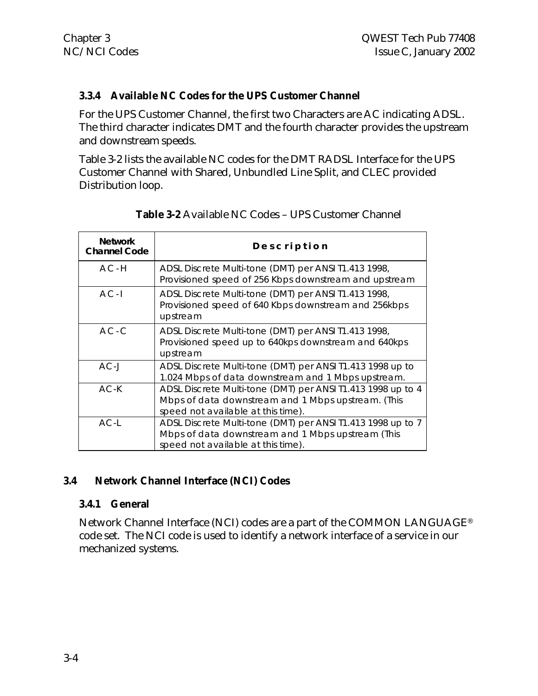#### **3.3.4 Available NC Codes for the UPS Customer Channel**

For the UPS Customer Channel, the first two Characters are AC indicating ADSL. The third character indicates DMT and the fourth character provides the upstream and downstream speeds.

Table 3-2 lists the available NC codes for the DMT RADSL Interface for the UPS Customer Channel with Shared, Unbundled Line Split, and CLEC provided Distribution loop.

| <b>Network</b><br><b>Channel Code</b> | Description                                                                                                                                             |
|---------------------------------------|---------------------------------------------------------------------------------------------------------------------------------------------------------|
| $AC-H$                                | ADSL Discrete Multi-tone (DMT) per ANSI T1.413 1998,<br>Provisioned speed of 256 Kbps downstream and upstream                                           |
| $AC - I$                              | ADSL Discrete Multi-tone (DMT) per ANSI T1.413 1998,<br>Provisioned speed of 640 Kbps downstream and 256kbps<br>upstream                                |
| $AC-C$                                | ADSL Discrete Multi-tone (DMT) per ANSI T1.413 1998,<br>Provisioned speed up to 640kps downstream and 640kps<br>upstream                                |
| $AC-J$                                | ADSL Discrete Multi-tone (DMT) per ANSI T1.413 1998 up to<br>1.024 Mbps of data downstream and 1 Mbps upstream.                                         |
| $AC-K$                                | ADSL Discrete Multi-tone (DMT) per ANSI T1.413 1998 up to 4<br>Mbps of data downstream and 1 Mbps upstream. (This<br>speed not available at this time). |
| $AC-L$                                | ADSL Discrete Multi-tone (DMT) per ANSI T1.413 1998 up to 7<br>Mbps of data downstream and 1 Mbps upstream (This<br>speed not available at this time).  |

**Table 3-2** Available NC Codes – UPS Customer Channel

### **3.4 Network Channel Interface (NCI) Codes**

#### **3.4.1 General**

Network Channel Interface (NCI) codes are a part of the COMMON LANGUAGE® code set. The NCI code is used to identify a network interface of a service in our mechanized systems.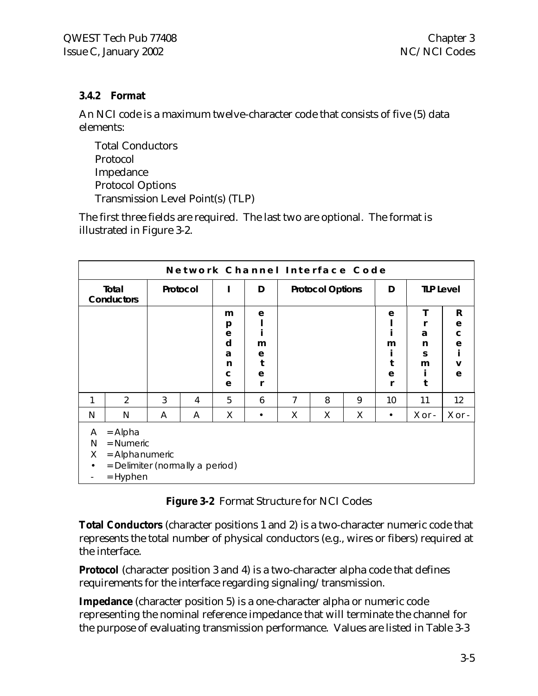#### **3.4.2 Format**

An NCI code is a maximum twelve-character code that consists of five (5) data elements:

Total Conductors Protocol Impedance Protocol Options Transmission Level Point(s) (TLP)

The first three fields are required. The last two are optional. The format is illustrated in Figure 3-2.

| Network Channel Interface Code                                                                                                                      |                     |          |   |                                      |                            |                         |   |   |                  |                  |                                              |
|-----------------------------------------------------------------------------------------------------------------------------------------------------|---------------------|----------|---|--------------------------------------|----------------------------|-------------------------|---|---|------------------|------------------|----------------------------------------------|
|                                                                                                                                                     | Total<br>Conductors | Protocol |   |                                      | D                          | <b>Protocol Options</b> |   | D | <b>TLP Level</b> |                  |                                              |
|                                                                                                                                                     |                     |          |   | m<br>p<br>e<br>d<br>a<br>n<br>C<br>e | e<br>m<br>е<br>t<br>e<br>r |                         |   |   | e<br>m<br>e      | a<br>n<br>S<br>m | R<br>${\bf e}$<br>$\mathbf C$<br>e<br>V<br>e |
| 1                                                                                                                                                   | 2                   | 3        | 4 | 5                                    | 6                          | 7                       | 8 | 9 | 10               | 11               | 12                                           |
| N                                                                                                                                                   | N                   | A        | A | Χ                                    | ٠                          | Χ                       | Χ | Χ | ٠                | $X$ or $-$       | X or -                                       |
| $=$ Alpha<br>A<br>$=$ Numeric<br>N<br>X<br>= Alphanumeric<br>= Delimiter (normally a period)<br>$\bullet$<br>$=$ Hyphen<br>$\overline{\phantom{a}}$ |                     |          |   |                                      |                            |                         |   |   |                  |                  |                                              |

**Figure 3-2** Format Structure for NCI Codes

**Total Conductors** (character positions 1 and 2) is a two-character numeric code that represents the total number of physical conductors (e.g., wires or fibers) required at the interface.

**Protocol** (character position 3 and 4) is a two-character alpha code that defines requirements for the interface regarding signaling/transmission.

**Impedance** (character position 5) is a one-character alpha or numeric code representing the nominal reference impedance that will terminate the channel for the purpose of evaluating transmission performance. Values are listed in Table 3-3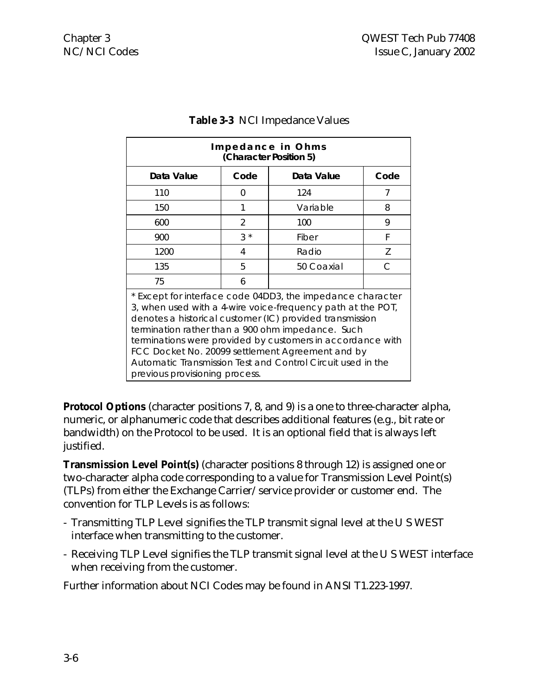| Impedance in Ohms<br>(Character Position 5)                                                                                                                                                                                                                                                                                                                                                                                                                   |       |            |      |  |  |
|---------------------------------------------------------------------------------------------------------------------------------------------------------------------------------------------------------------------------------------------------------------------------------------------------------------------------------------------------------------------------------------------------------------------------------------------------------------|-------|------------|------|--|--|
| Data Value                                                                                                                                                                                                                                                                                                                                                                                                                                                    | Code  | Data Value | Code |  |  |
| 110                                                                                                                                                                                                                                                                                                                                                                                                                                                           | 0     | 124        | 7    |  |  |
| 150                                                                                                                                                                                                                                                                                                                                                                                                                                                           | 1     | Variable   | 8    |  |  |
| 600                                                                                                                                                                                                                                                                                                                                                                                                                                                           | 2     | 100        | 9    |  |  |
| 900                                                                                                                                                                                                                                                                                                                                                                                                                                                           | $3 *$ | Fiber      | F    |  |  |
| 1200                                                                                                                                                                                                                                                                                                                                                                                                                                                          | 4     | Radio      | 7    |  |  |
| 135                                                                                                                                                                                                                                                                                                                                                                                                                                                           | 5     | 50 Coaxial | C    |  |  |
| 75                                                                                                                                                                                                                                                                                                                                                                                                                                                            | 6     |            |      |  |  |
| * Except for interface code 04DD3, the impedance character<br>3, when used with a 4-wire voice-frequency path at the POT,<br>denotes a historical customer (IC) provided transmission<br>termination rather than a 900 ohm impedance. Such<br>terminations were provided by customers in accordance with<br>FCC Docket No. 20099 settlement Agreement and by<br>Automatic Transmission Test and Control Circuit used in the<br>previous provisioning process. |       |            |      |  |  |

#### **Table 3-3** NCI Impedance Values

**Protocol Options** (character positions 7, 8, and 9) is a one to three-character alpha, numeric, or alphanumeric code that describes additional features (e.g., bit rate or bandwidth) on the Protocol to be used. It is an optional field that is always left justified.

**Transmission Level Point(s)** (character positions 8 through 12) is assigned one or two-character alpha code corresponding to a value for Transmission Level Point(s) (TLPs) from either the Exchange Carrier/service provider or customer end. The convention for TLP Levels is as follows:

- Transmitting TLP Level signifies the TLP transmit signal level at the U S WEST interface when transmitting to the customer.
- Receiving TLP Level signifies the TLP transmit signal level at the U S WEST interface when receiving from the customer.

Further information about NCI Codes may be found in ANSI T1.223-1997.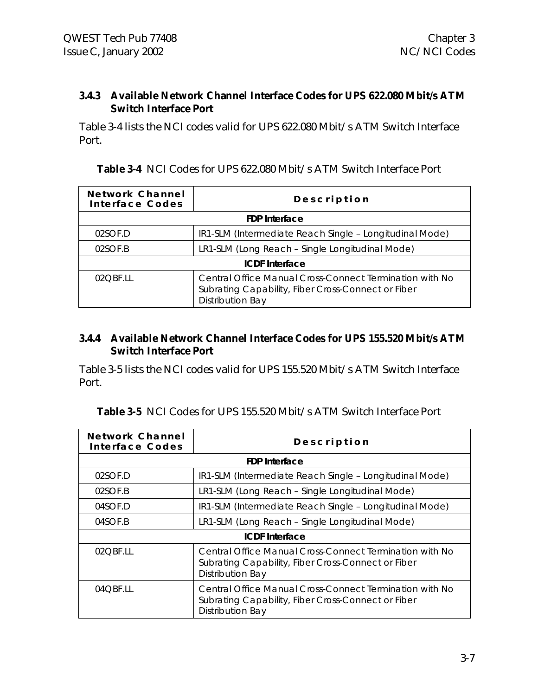#### **3.4.3 Available Network Channel Interface Codes for UPS 622.080 Mbit/s ATM Switch Interface Port**

Table 3-4 lists the NCI codes valid for UPS 622.080 Mbit/s ATM Switch Interface Port.

| Network Channel<br>Interface Codes | Description                                                                                                                              |  |  |
|------------------------------------|------------------------------------------------------------------------------------------------------------------------------------------|--|--|
|                                    | <b>FDP</b> Interface                                                                                                                     |  |  |
| 02SOF.D                            | IR1-SLM (Intermediate Reach Single - Longitudinal Mode)                                                                                  |  |  |
| 02SOF.B                            | LR1-SLM (Long Reach - Single Longitudinal Mode)                                                                                          |  |  |
| <b>ICDF</b> Interface              |                                                                                                                                          |  |  |
| 02OBE.II                           | Central Office Manual Cross-Connect Termination with No<br>Subrating Capability, Fiber Cross-Connect or Fiber<br><b>Distribution Bay</b> |  |  |

**Table 3-4** NCI Codes for UPS 622.080 Mbit/s ATM Switch Interface Port

#### **3.4.4 Available Network Channel Interface Codes for UPS 155.520 Mbit/s ATM Switch Interface Port**

Table 3-5 lists the NCI codes valid for UPS 155.520 Mbit/s ATM Switch Interface Port.

| Network Channel<br>Interface Codes | Description                                                                                                                              |  |  |  |
|------------------------------------|------------------------------------------------------------------------------------------------------------------------------------------|--|--|--|
| <b>FDP</b> Interface               |                                                                                                                                          |  |  |  |
| 02SOF.D                            | IR1-SLM (Intermediate Reach Single - Longitudinal Mode)                                                                                  |  |  |  |
| 02SOF.B                            | LR1-SLM (Long Reach - Single Longitudinal Mode)                                                                                          |  |  |  |
| 04SOF.D                            | IR1-SLM (Intermediate Reach Single - Longitudinal Mode)                                                                                  |  |  |  |
| 04SOF.B                            | LR1-SLM (Long Reach - Single Longitudinal Mode)                                                                                          |  |  |  |
| <b>ICDF</b> Interface              |                                                                                                                                          |  |  |  |
| 02OBE.11                           | Central Office Manual Cross-Connect Termination with No<br>Subrating Capability, Fiber Cross-Connect or Fiber<br><b>Distribution Bay</b> |  |  |  |
| $04$ OBE.II                        | Central Office Manual Cross-Connect Termination with No<br>Subrating Capability, Fiber Cross-Connect or Fiber<br><b>Distribution Bay</b> |  |  |  |

**Table 3-5** NCI Codes for UPS 155.520 Mbit/s ATM Switch Interface Port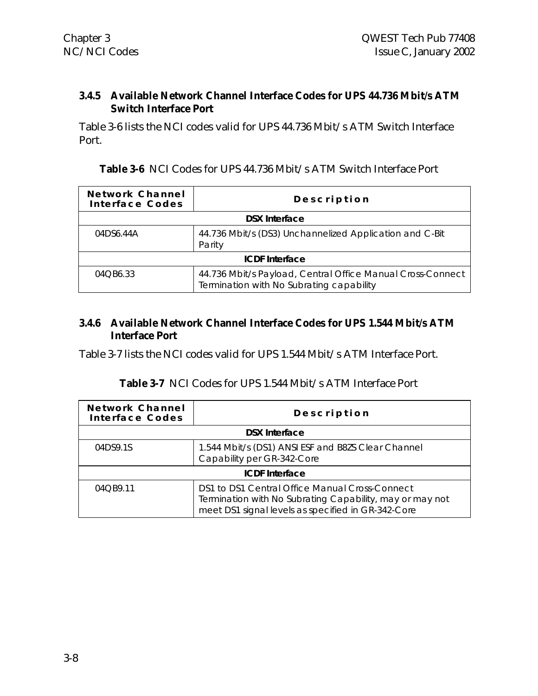#### **3.4.5 Available Network Channel Interface Codes for UPS 44.736 Mbit/s ATM Switch Interface Port**

Table 3-6 lists the NCI codes valid for UPS 44.736 Mbit/s ATM Switch Interface Port.

| <b>Table 3-6</b> NCI Codes for UPS 44.736 Mbit/s ATM Switch Interface Port |
|----------------------------------------------------------------------------|
|----------------------------------------------------------------------------|

| Network Channel<br>Interface Codes | Description                                                                                            |  |  |
|------------------------------------|--------------------------------------------------------------------------------------------------------|--|--|
|                                    | <b>DSX Interface</b>                                                                                   |  |  |
| 04DS6.44A                          | 44.736 Mbit/s (DS3) Unchannelized Application and C-Bit<br>Parity                                      |  |  |
|                                    | <b>ICDF</b> Interface                                                                                  |  |  |
| 04QB6.33                           | 44.736 Mbit/s Payload, Central Office Manual Cross-Connect<br>Termination with No Subrating capability |  |  |

#### **3.4.6 Available Network Channel Interface Codes for UPS 1.544 Mbit/s ATM Interface Port**

Table 3-7 lists the NCI codes valid for UPS 1.544 Mbit/s ATM Interface Port.

### **Table 3-7** NCI Codes for UPS 1.544 Mbit/s ATM Interface Port

| Network Channel<br>Interface Codes | Description                                                                                                                                                      |  |  |
|------------------------------------|------------------------------------------------------------------------------------------------------------------------------------------------------------------|--|--|
| <b>DSX Interface</b>               |                                                                                                                                                                  |  |  |
| 04DS9.1S                           | 1.544 Mbit/s (DS1) ANSI ESF and B8ZS Clear Channel<br>Capability per GR-342-Core                                                                                 |  |  |
| <b>ICDF</b> Interface              |                                                                                                                                                                  |  |  |
| 04OB9.11                           | DS1 to DS1 Central Office Manual Cross-Connect<br>Termination with No Subrating Capability, may or may not<br>meet DS1 signal levels as specified in GR-342-Core |  |  |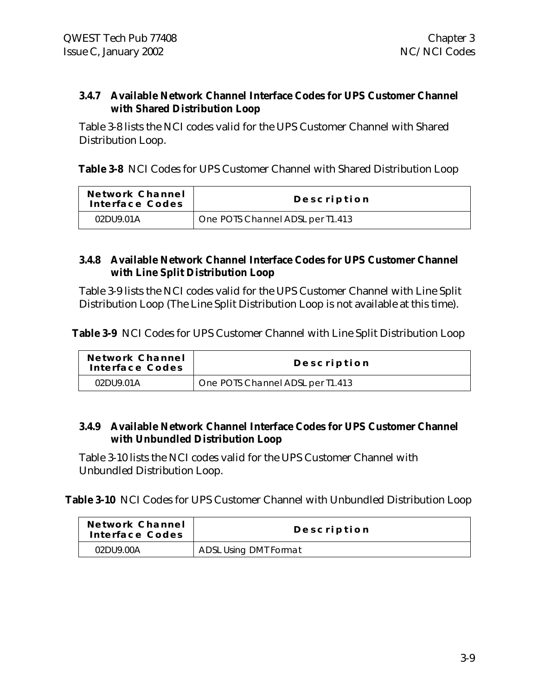#### **3.4.7 Available Network Channel Interface Codes for UPS Customer Channel with Shared Distribution Loop**

Table 3-8 lists the NCI codes valid for the UPS Customer Channel with Shared Distribution Loop.

**Table 3-8** NCI Codes for UPS Customer Channel with Shared Distribution Loop

| Network Channel<br>Interface Codes | Description                      |
|------------------------------------|----------------------------------|
| 02DU9.01A                          | One POTS Channel ADSL per T1.413 |

#### **3.4.8 Available Network Channel Interface Codes for UPS Customer Channel with Line Split Distribution Loop**

Table 3-9 lists the NCI codes valid for the UPS Customer Channel with Line Split Distribution Loop (The Line Split Distribution Loop is not available at this time).

Table 3-9 NCI Codes for UPS Customer Channel with Line Split Distribution Loop

| Network Channel<br>Interface Codes | Description                      |
|------------------------------------|----------------------------------|
| 02DU9.01A                          | One POTS Channel ADSL per T1.413 |

#### **3.4.9 Available Network Channel Interface Codes for UPS Customer Channel with Unbundled Distribution Loop**

Table 3-10 lists the NCI codes valid for the UPS Customer Channel with Unbundled Distribution Loop.

**Table 3-10** NCI Codes for UPS Customer Channel with Unbundled Distribution Loop

| Network Channel<br>Interface Codes | Description                  |
|------------------------------------|------------------------------|
| 02DU9.00A                          | <b>ADSL Using DMT Format</b> |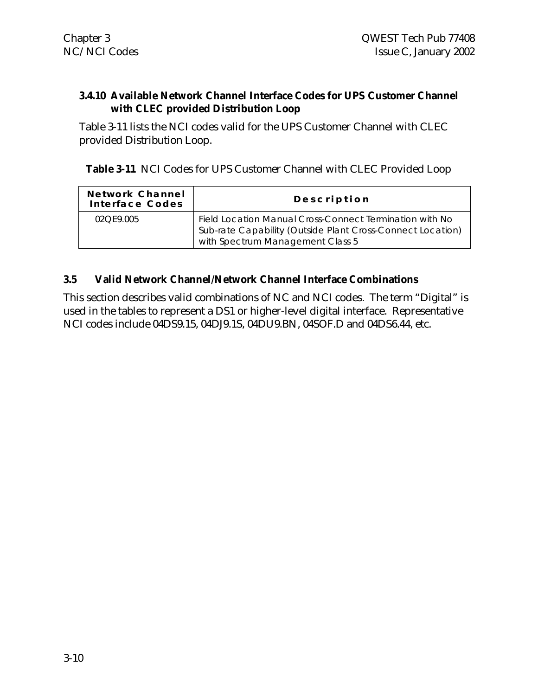#### **3.4.10 Available Network Channel Interface Codes for UPS Customer Channel with CLEC provided Distribution Loop**

Table 3-11 lists the NCI codes valid for the UPS Customer Channel with CLEC provided Distribution Loop.

**Table 3-11** NCI Codes for UPS Customer Channel with CLEC Provided Loop

| Network Channel<br>Interface Codes | Description                                                                                                                                               |
|------------------------------------|-----------------------------------------------------------------------------------------------------------------------------------------------------------|
| 02OF9.005                          | Field Location Manual Cross-Connect Termination with No<br>Sub-rate Capability (Outside Plant Cross-Connect Location)<br>with Spectrum Management Class 5 |

#### **3.5 Valid Network Channel/Network Channel Interface Combinations**

This section describes valid combinations of NC and NCI codes. The term "Digital" is used in the tables to represent a DS1 or higher-level digital interface. Representative NCI codes include 04DS9.15, 04DJ9.1S, 04DU9.BN, 04SOF.D and 04DS6.44, etc.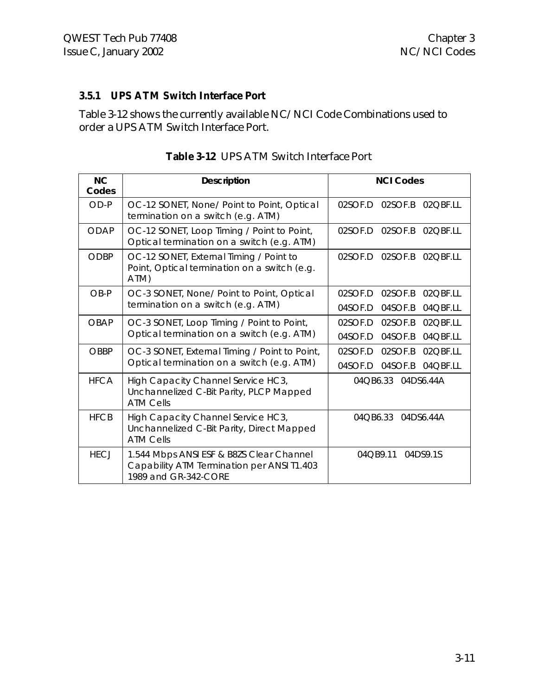## **3.5.1 UPS ATM Switch Interface Port**

Table 3-12 shows the currently available NC/NCI Code Combinations used to order a UPS ATM Switch Interface Port.

| NC<br>Codes | <b>Description</b>                                                                                             | <b>NCI Codes</b>                |
|-------------|----------------------------------------------------------------------------------------------------------------|---------------------------------|
| OD-P        | OC-12 SONET, None/ Point to Point, Optical<br>termination on a switch (e.g. ATM)                               | 02SOF.B 02QBF.LL<br>02SOF.D     |
| <b>ODAP</b> | OC-12 SONET, Loop Timing / Point to Point,<br>Optical termination on a switch (e.g. ATM)                       | 02SOF.D<br>02SOF.B 02QBF.LL     |
| <b>ODBP</b> | OC-12 SONET, External Timing / Point to<br>Point, Optical termination on a switch (e.g.<br>ATM)                | 02SOF.D<br>02SOF.B 02QBF.LL     |
| OB-P        | OC-3 SONET, None/ Point to Point, Optical                                                                      | 02SOF.D<br>02SOF.B<br>02QBF.LL  |
|             | termination on a switch (e.g. ATM)                                                                             | 04SOF.D<br>04SOF.B<br>04 OBF.LL |
| <b>OBAP</b> | OC-3 SONET, Loop Timing / Point to Point,                                                                      | 02SOF.D<br>02SOF.B<br>02QBF.LL  |
|             | Optical termination on a switch (e.g. ATM)                                                                     | 04SOF.D<br>04SOF.B<br>04QBF.LL  |
| <b>OBBP</b> | OC-3 SONET, External Timing / Point to Point,                                                                  | 02SOF.D<br>02SOF.B<br>02QBF.LL  |
|             | Optical termination on a switch (e.g. ATM)                                                                     | 04SOF.D<br>04SOF.B<br>04QBF.LL  |
| <b>HFCA</b> | High Capacity Channel Service HC3,<br>Unchannelized C-Bit Parity, PLCP Mapped<br><b>ATM Cells</b>              | 04 QB6.33 04 DS6.44 A           |
| <b>HFCB</b> | High Capacity Channel Service HC3,<br>Unchannelized C-Bit Parity, Direct Mapped<br><b>ATM Cells</b>            | 04OB6.33<br>04DS6.44A           |
| <b>HECJ</b> | 1.544 Mbps ANSI ESF & B8ZS Clear Channel<br>Capability ATM Termination per ANSI T1.403<br>1989 and GR-342-CORE | 04DS9.1S<br>04QB9.11            |

| Table 3-12 UPS ATM Switch Interface Port |
|------------------------------------------|
|                                          |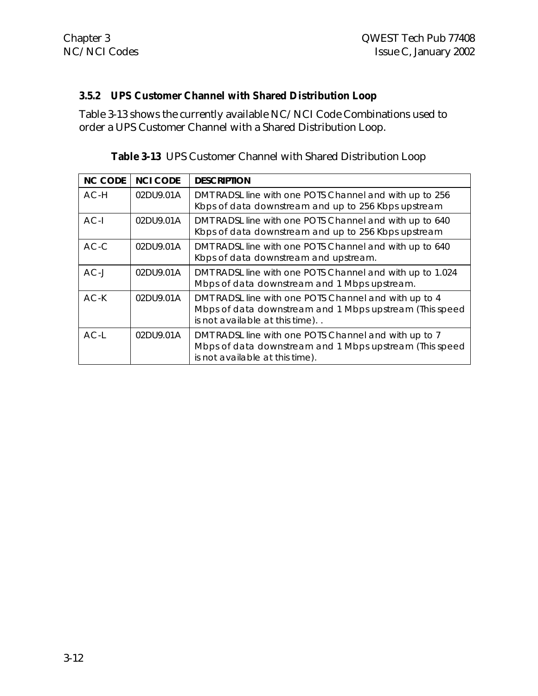#### **3.5.2 UPS Customer Channel with Shared Distribution Loop**

Table 3-13 shows the currently available NC/NCI Code Combinations used to order a UPS Customer Channel with a Shared Distribution Loop.

| <b>NC CODE</b> | <b>NCI CODE</b> | <b>DESCRIPTION</b>                                                                                                                                  |
|----------------|-----------------|-----------------------------------------------------------------------------------------------------------------------------------------------------|
| $AC-H$         | 02DU9.01A       | DMT RADSL line with one POTS Channel and with up to 256<br>Kbps of data downstream and up to 256 Kbps upstream                                      |
| $AC-I$         | 02DU9.01A       | DMT RADSL line with one POTS Channel and with up to 640<br>Kbps of data downstream and up to 256 Kbps upstream                                      |
| $AC-C$         | 02DU9.01A       | DMT RADSL line with one POTS Channel and with up to 640<br>Kbps of data downstream and upstream.                                                    |
| $AC-J$         | 02DU9.01A       | DMT RADSL line with one POTS Channel and with up to 1.024<br>Mbps of data downstream and 1 Mbps upstream.                                           |
| $AC-K$         | 02DU9.01A       | DMT RADSL line with one POTS Channel and with up to 4<br>Mbps of data downstream and 1 Mbps upstream (This speed<br>is not available at this time)  |
| $AC-I$         | 02DU9.01A       | DMT RADSL line with one POTS Channel and with up to 7<br>Mbps of data downstream and 1 Mbps upstream (This speed<br>is not available at this time). |

|  |  |  |  |  |  | Table 3-13 UPS Customer Channel with Shared Distribution Loop |  |
|--|--|--|--|--|--|---------------------------------------------------------------|--|
|--|--|--|--|--|--|---------------------------------------------------------------|--|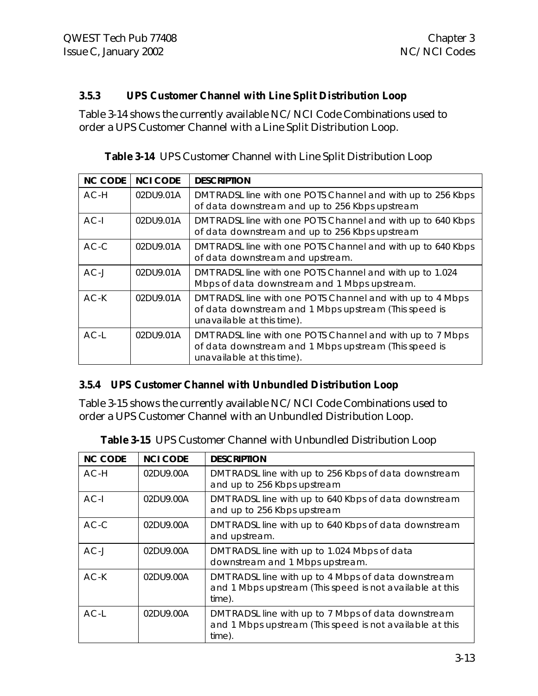#### **3.5.3 UPS Customer Channel with Line Split Distribution Loop**

Table 3-14 shows the currently available NC/NCI Code Combinations used to order a UPS Customer Channel with a Line Split Distribution Loop.

| <b>NC CODE</b> | <b>NCI CODE</b> | <b>DESCRIPTION</b>                                                                                                                                |
|----------------|-----------------|---------------------------------------------------------------------------------------------------------------------------------------------------|
| $AC-H$         | 02DU9.01A       | DMT RADSL line with one POTS Channel and with up to 256 Kbps<br>of data downstream and up to 256 Kbps upstream                                    |
| $AC-I$         | 02DU9.01A       | DMT RADSL line with one POTS Channel and with up to 640 Kbps<br>of data downstream and up to 256 Kbps upstream                                    |
| $AC-C$         | 02DU9.01A       | DMT RADSL line with one POTS Channel and with up to 640 Kbps<br>of data downstream and upstream.                                                  |
| $AC-J$         | 02DU9.01A       | DMT RADSL line with one POTS Channel and with up to 1.024<br>Mbps of data downstream and 1 Mbps upstream.                                         |
| $AC-K$         | 02DU9.01A       | DMT RADSL line with one POTS Channel and with up to 4 Mbps<br>of data downstream and 1 Mbps upstream (This speed is<br>unavailable at this time). |
| $AC-L$         | 02DU9.01A       | DMT RADSL line with one POTS Channel and with up to 7 Mbps<br>of data downstream and 1 Mbps upstream (This speed is<br>unavailable at this time). |

| Table 3-14 UPS Customer Channel with Line Split Distribution Loop |
|-------------------------------------------------------------------|
|-------------------------------------------------------------------|

## **3.5.4 UPS Customer Channel with Unbundled Distribution Loop**

Table 3-15 shows the currently available NC/NCI Code Combinations used to order a UPS Customer Channel with an Unbundled Distribution Loop.

| <b>NC CODE</b> | <b>NCI CODE</b> | <b>DESCRIPTION</b>                                                                                                        |
|----------------|-----------------|---------------------------------------------------------------------------------------------------------------------------|
| $AC-H$         | 02DU9.00A       | DMT RADSL line with up to 256 Kbps of data downstream<br>and up to 256 Kbps upstream                                      |
| $AC-I$         | 02DU9.00A       | DMT RADSL line with up to 640 Kbps of data downstream<br>and up to 256 Kbps upstream                                      |
| $AC-C$         | 02DU9.00A       | DMT RADSL line with up to 640 Kbps of data downstream<br>and upstream.                                                    |
| $AC-J$         | 02DU9.00A       | DMT RADSL line with up to 1.024 Mbps of data<br>downstream and 1 Mbps upstream.                                           |
| $AC-K$         | 02DU9.00A       | DMT RADSL line with up to 4 Mbps of data downstream<br>and 1 Mbps upstream (This speed is not available at this<br>time). |
| $AC-I$         | 02DU9.00A       | DMT RADSL line with up to 7 Mbps of data downstream<br>and 1 Mbps upstream (This speed is not available at this<br>time). |

| Table 3-15 UPS Customer Channel with Unbundled Distribution Loop |  |
|------------------------------------------------------------------|--|
|------------------------------------------------------------------|--|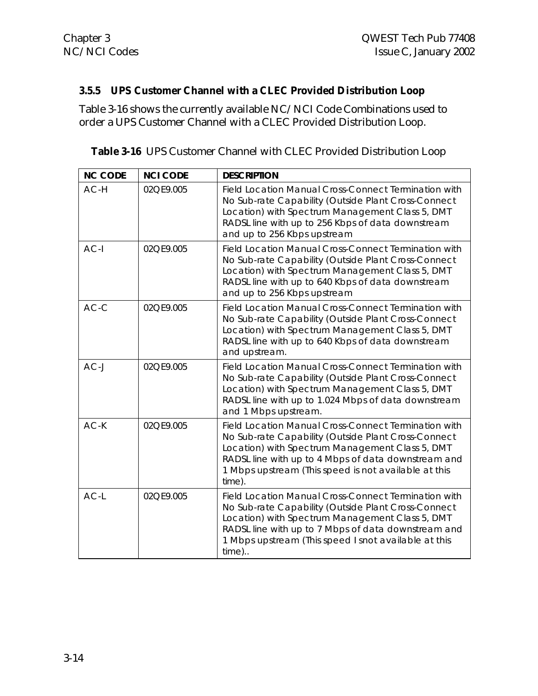## **3.5.5 UPS Customer Channel with a CLEC Provided Distribution Loop**

Table 3-16 shows the currently available NC/NCI Code Combinations used to order a UPS Customer Channel with a CLEC Provided Distribution Loop.

| <b>NC CODE</b> | <b>NCI CODE</b> | <b>DESCRIPTION</b>                                                                                                                                                                                                                                                                      |
|----------------|-----------------|-----------------------------------------------------------------------------------------------------------------------------------------------------------------------------------------------------------------------------------------------------------------------------------------|
| AC-H           | 02QE9.005       | Field Location Manual Cross-Connect Termination with<br>No Sub-rate Capability (Outside Plant Cross-Connect<br>Location) with Spectrum Management Class 5, DMT<br>RADSL line with up to 256 Kbps of data downstream<br>and up to 256 Kbps upstream                                      |
| $AC-I$         | 02QE9.005       | Field Location Manual Cross-Connect Termination with<br>No Sub-rate Capability (Outside Plant Cross-Connect<br>Location) with Spectrum Management Class 5, DMT<br>RADSL line with up to 640 Kbps of data downstream<br>and up to 256 Kbps upstream                                      |
| $AC-C$         | 02QE9.005       | Field Location Manual Cross-Connect Termination with<br>No Sub-rate Capability (Outside Plant Cross-Connect<br>Location) with Spectrum Management Class 5, DMT<br>RADSL line with up to 640 Kbps of data downstream<br>and upstream.                                                    |
| $AC-J$         | 02QE9.005       | Field Location Manual Cross-Connect Termination with<br>No Sub-rate Capability (Outside Plant Cross-Connect<br>Location) with Spectrum Management Class 5, DMT<br>RADSL line with up to 1.024 Mbps of data downstream<br>and 1 Mbps upstream.                                           |
| $AC-K$         | 02QE9.005       | Field Location Manual Cross-Connect Termination with<br>No Sub-rate Capability (Outside Plant Cross-Connect<br>Location) with Spectrum Management Class 5, DMT<br>RADSL line with up to 4 Mbps of data downstream and<br>1 Mbps upstream (This speed is not available at this<br>time). |
| $AC-L$         | 02QE9.005       | Field Location Manual Cross-Connect Termination with<br>No Sub-rate Capability (Outside Plant Cross-Connect<br>Location) with Spectrum Management Class 5, DMT<br>RADSL line with up to 7 Mbps of data downstream and<br>1 Mbps upstream (This speed I snot available at this<br>time)  |

|  | <b>Table 3-16</b> UPS Customer Channel with CLEC Provided Distribution Loop |
|--|-----------------------------------------------------------------------------|
|--|-----------------------------------------------------------------------------|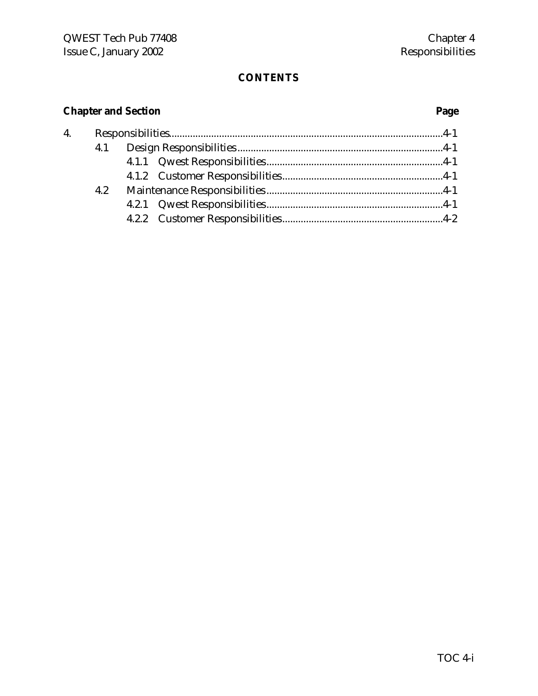## **CONTENTS**

## **Chapter and Section Page**

| 4.1 |  |  |  |
|-----|--|--|--|
|     |  |  |  |
|     |  |  |  |
| 4.2 |  |  |  |
|     |  |  |  |
|     |  |  |  |
|     |  |  |  |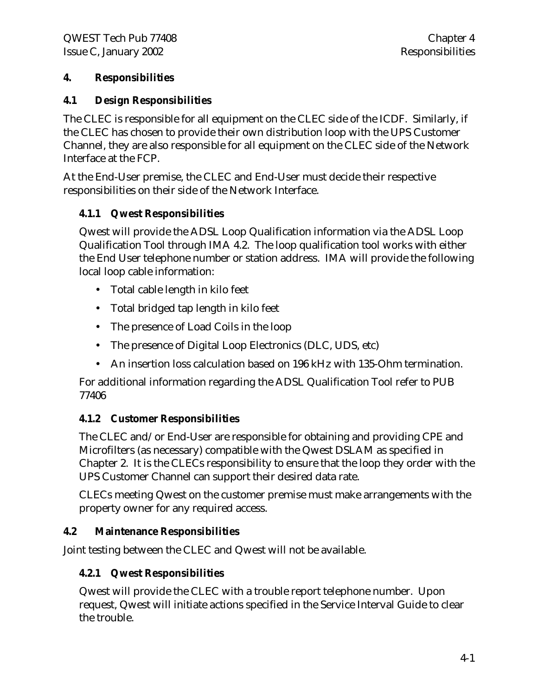## **4. Responsibilities**

## **4.1 Design Responsibilities**

The CLEC is responsible for all equipment on the CLEC side of the ICDF. Similarly, if the CLEC has chosen to provide their own distribution loop with the UPS Customer Channel, they are also responsible for all equipment on the CLEC side of the Network Interface at the FCP.

At the End-User premise, the CLEC and End-User must decide their respective responsibilities on their side of the Network Interface.

## **4.1.1 Qwest Responsibilities**

Qwest will provide the ADSL Loop Qualification information via the ADSL Loop Qualification Tool through IMA 4.2. The loop qualification tool works with either the End User telephone number or station address. IMA will provide the following local loop cable information:

- Total cable length in kilo feet
- Total bridged tap length in kilo feet
- The presence of Load Coils in the loop
- The presence of Digital Loop Electronics (DLC, UDS, etc)
- An insertion loss calculation based on 196 kHz with 135-Ohm termination.

For additional information regarding the ADSL Qualification Tool refer to PUB 77406

## **4.1.2 Customer Responsibilities**

The CLEC and/or End-User are responsible for obtaining and providing CPE and Microfilters (as necessary) compatible with the Qwest DSLAM as specified in Chapter 2. It is the CLECs responsibility to ensure that the loop they order with the UPS Customer Channel can support their desired data rate.

CLECs meeting Qwest on the customer premise must make arrangements with the property owner for any required access.

## **4.2 Maintenance Responsibilities**

Joint testing between the CLEC and Qwest will not be available.

## **4.2.1 Qwest Responsibilities**

Qwest will provide the CLEC with a trouble report telephone number. Upon request, Qwest will initiate actions specified in the Service Interval Guide to clear the trouble.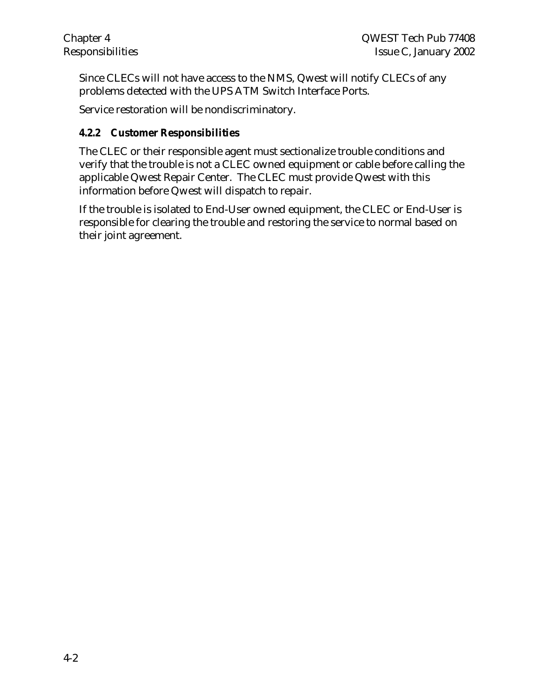Since CLECs will not have access to the NMS, Qwest will notify CLECs of any problems detected with the UPS ATM Switch Interface Ports.

Service restoration will be nondiscriminatory.

## **4.2.2 Customer Responsibilities**

The CLEC or their responsible agent must sectionalize trouble conditions and verify that the trouble is not a CLEC owned equipment or cable before calling the applicable Qwest Repair Center. The CLEC must provide Qwest with this information before Qwest will dispatch to repair.

If the trouble is isolated to End-User owned equipment, the CLEC or End-User is responsible for clearing the trouble and restoring the service to normal based on their joint agreement.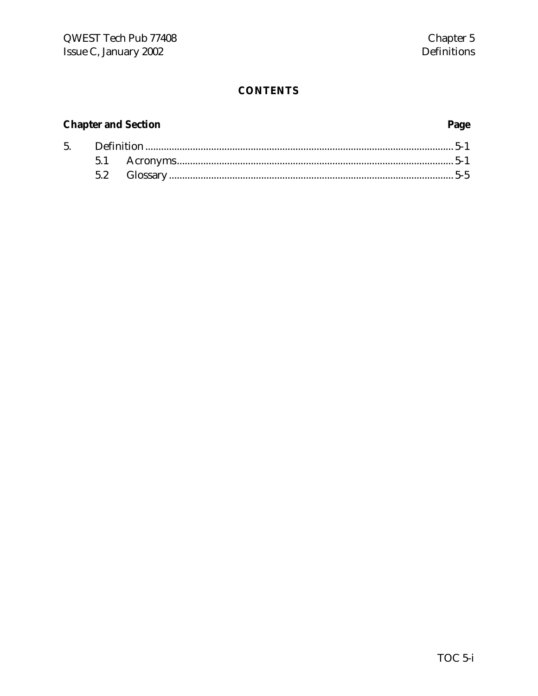## **CONTENTS**

## **Chapter and Section**

 $5.$ 

## Page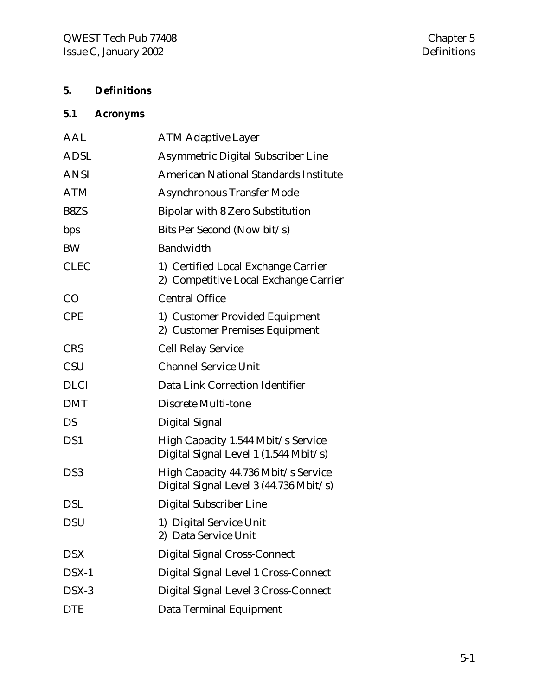## **5. Definitions**

# **5.1 Acronyms**

| <b>ATM Adaptive Layer</b>                                                     |
|-------------------------------------------------------------------------------|
| <b>Asymmetric Digital Subscriber Line</b>                                     |
| <b>American National Standards Institute</b>                                  |
| <b>Asynchronous Transfer Mode</b>                                             |
| <b>Bipolar with 8 Zero Substitution</b>                                       |
| Bits Per Second (Now bit/s)                                                   |
| Bandwidth                                                                     |
| 1) Certified Local Exchange Carrier<br>2) Competitive Local Exchange Carrier  |
| <b>Central Office</b>                                                         |
| 1) Customer Provided Equipment<br>2) Customer Premises Equipment              |
| <b>Cell Relay Service</b>                                                     |
| <b>Channel Service Unit</b>                                                   |
| Data Link Correction Identifier                                               |
| Discrete Multi-tone                                                           |
| Digital Signal                                                                |
| High Capacity 1.544 Mbit/s Service<br>Digital Signal Level 1 (1.544 Mbit/s)   |
| High Capacity 44.736 Mbit/s Service<br>Digital Signal Level 3 (44.736 Mbit/s) |
| <b>Digital Subscriber Line</b>                                                |
| 1) Digital Service Unit<br>2) Data Service Unit                               |
| <b>Digital Signal Cross-Connect</b>                                           |
| Digital Signal Level 1 Cross-Connect                                          |
| Digital Signal Level 3 Cross-Connect                                          |
| Data Terminal Equipment                                                       |
|                                                                               |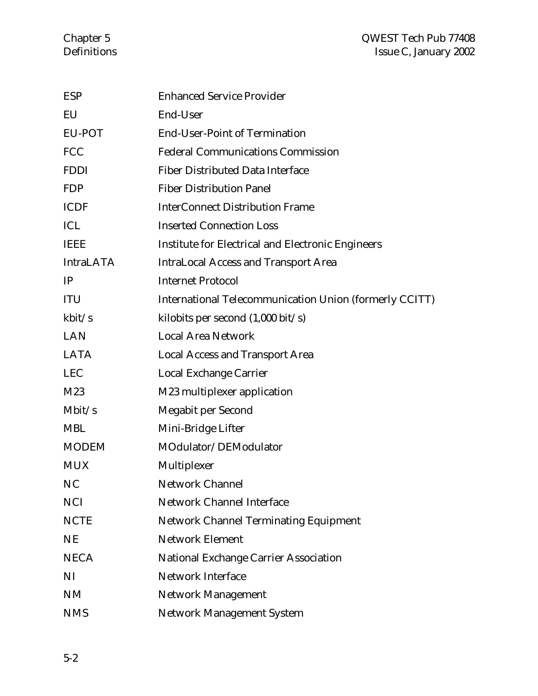#### Chapter 5 QWEST Tech Pub 77408 Definitions Issue C, January 2002

| <b>ESP</b>       | <b>Enhanced Service Provider</b>                         |
|------------------|----------------------------------------------------------|
| EU               | End-User                                                 |
| EU-POT           | <b>End-User-Point of Termination</b>                     |
| <b>FCC</b>       | <b>Federal Communications Commission</b>                 |
| <b>FDDI</b>      | <b>Fiber Distributed Data Interface</b>                  |
| <b>FDP</b>       | <b>Fiber Distribution Panel</b>                          |
| <b>ICDF</b>      | <b>InterConnect Distribution Frame</b>                   |
| ICL              | <b>Inserted Connection Loss</b>                          |
| <b>IEEE</b>      | <b>Institute for Electrical and Electronic Engineers</b> |
| <b>IntraLATA</b> | <b>IntraLocal Access and Transport Area</b>              |
| IP               | <b>Internet Protocol</b>                                 |
| <b>ITU</b>       | International Telecommunication Union (formerly CCITT)   |
| kbit/s           | kilobits per second $(1,000 \text{ bit/s})$              |
| <b>LAN</b>       | <b>Local Area Network</b>                                |
| <b>LATA</b>      | <b>Local Access and Transport Area</b>                   |
| <b>LEC</b>       | Local Exchange Carrier                                   |
| M23              | M23 multiplexer application                              |
| Mbit/s           | <b>Megabit per Second</b>                                |
| <b>MBL</b>       | Mini-Bridge Lifter                                       |
| <b>MODEM</b>     | MOdulator/DEModulator                                    |
| <b>MUX</b>       | Multiplexer                                              |
| NC               | <b>Network Channel</b>                                   |
| <b>NCI</b>       | <b>Network Channel Interface</b>                         |
| <b>NCTE</b>      | <b>Network Channel Terminating Equipment</b>             |
| <b>NE</b>        | <b>Network Element</b>                                   |
| <b>NECA</b>      | <b>National Exchange Carrier Association</b>             |
| NI               | <b>Network Interface</b>                                 |
| <b>NM</b>        | <b>Network Management</b>                                |
| <b>NMS</b>       | <b>Network Management System</b>                         |
|                  |                                                          |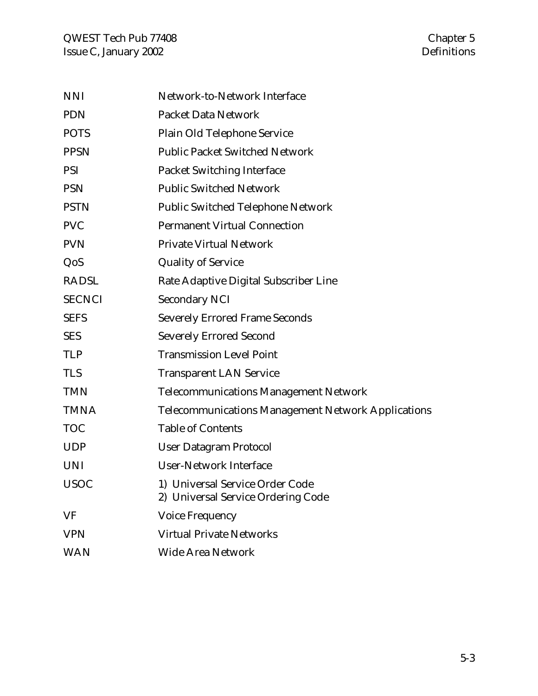| <b>NNI</b>    | Network-to-Network Interface                                          |
|---------------|-----------------------------------------------------------------------|
| <b>PDN</b>    | <b>Packet Data Network</b>                                            |
| <b>POTS</b>   | Plain Old Telephone Service                                           |
| <b>PPSN</b>   | <b>Public Packet Switched Network</b>                                 |
| <b>PSI</b>    | <b>Packet Switching Interface</b>                                     |
| <b>PSN</b>    | <b>Public Switched Network</b>                                        |
| <b>PSTN</b>   | <b>Public Switched Telephone Network</b>                              |
| <b>PVC</b>    | <b>Permanent Virtual Connection</b>                                   |
| <b>PVN</b>    | <b>Private Virtual Network</b>                                        |
| QoS           | <b>Quality of Service</b>                                             |
| <b>RADSL</b>  | Rate Adaptive Digital Subscriber Line                                 |
| <b>SECNCI</b> | <b>Secondary NCI</b>                                                  |
| <b>SEFS</b>   | <b>Severely Errored Frame Seconds</b>                                 |
| <b>SES</b>    | <b>Severely Errored Second</b>                                        |
| <b>TLP</b>    | <b>Transmission Level Point</b>                                       |
| <b>TLS</b>    | <b>Transparent LAN Service</b>                                        |
| <b>TMN</b>    | <b>Telecommunications Management Network</b>                          |
| <b>TMNA</b>   | <b>Telecommunications Management Network Applications</b>             |
| <b>TOC</b>    | <b>Table of Contents</b>                                              |
| <b>UDP</b>    | <b>User Datagram Protocol</b>                                         |
| <b>UNI</b>    | <b>User-Network Interface</b>                                         |
| <b>USOC</b>   | 1) Universal Service Order Code<br>2) Universal Service Ordering Code |
| VF            | <b>Voice Frequency</b>                                                |
| <b>VPN</b>    | <b>Virtual Private Networks</b>                                       |
| <b>WAN</b>    | <b>Wide Area Network</b>                                              |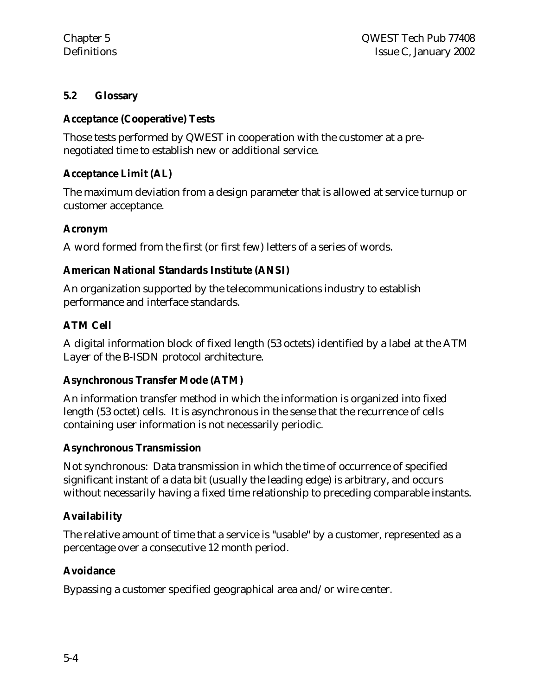## **5.2 Glossary**

#### **Acceptance (Cooperative) Tests**

Those tests performed by QWEST in cooperation with the customer at a prenegotiated time to establish new or additional service.

## **Acceptance Limit (AL)**

The maximum deviation from a design parameter that is allowed at service turnup or customer acceptance.

## **Acronym**

A word formed from the first (or first few) letters of a series of words.

## **American National Standards Institute (ANSI)**

An organization supported by the telecommunications industry to establish performance and interface standards.

## **ATM Cell**

A digital information block of fixed length (53 octets) identified by a label at the ATM Layer of the B-ISDN protocol architecture.

## **Asynchronous Transfer Mode (ATM)**

An information transfer method in which the information is organized into fixed length (53 octet) cells. It is asynchronous in the sense that the recurrence of cells containing user information is not necessarily periodic.

#### **Asynchronous Transmission**

Not synchronous: Data transmission in which the time of occurrence of specified significant instant of a data bit (usually the leading edge) is arbitrary, and occurs without necessarily having a fixed time relationship to preceding comparable instants.

## **Availability**

The relative amount of time that a service is "usable" by a customer, represented as a percentage over a consecutive 12 month period.

## **Avoidance**

Bypassing a customer specified geographical area and/or wire center.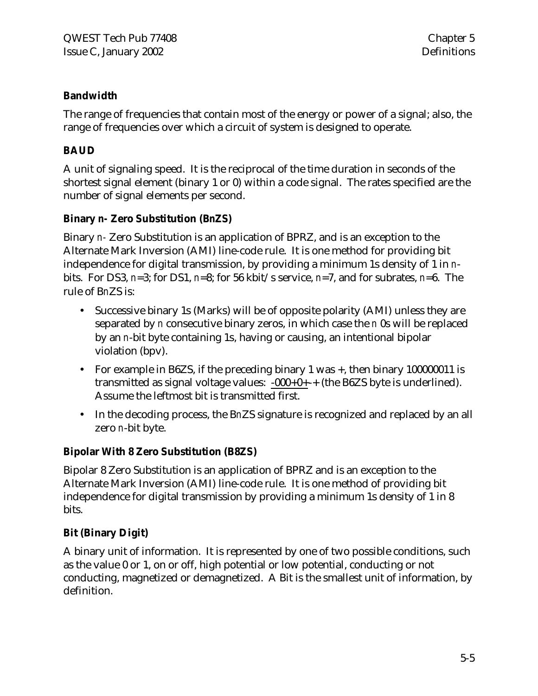## **Bandwidth**

The range of frequencies that contain most of the energy or power of a signal; also, the range of frequencies over which a circuit of system is designed to operate.

## **BAUD**

A unit of signaling speed. It is the reciprocal of the time duration in seconds of the shortest signal element (binary 1 or 0) within a code signal. The rates specified are the number of signal elements per second.

## **Binary** *n-* **Zero Substitution (B***n***ZS)**

Binary *n-* Zero Substitution is an application of BPRZ, and is an exception to the Alternate Mark Inversion (AMI) line-code rule. It is one method for providing bit independence for digital transmission, by providing a minimum 1s density of 1 in *n*bits. For DS3, *n*=3; for DS1, *n*=8; for 56 kbit/s service, *n*=7, and for subrates, *n*=6. The rule of B*n*ZS is:

- Successive binary 1s (Marks) will be of opposite polarity (AMI) unless they are separated by *n* consecutive binary zeros, in which case the *n* 0s will be replaced by an *n*-bit byte containing 1s, having or causing, an intentional bipolar violation (bpv).
- For example in B6ZS, if the preceding binary 1 was +, then binary 100000011 is transmitted as signal voltage values:  $-000+0++$  (the B6ZS byte is underlined). Assume the leftmost bit is transmitted first.
- In the decoding process, the B*n*ZS signature is recognized and replaced by an all zero *n*-bit byte.

## **Bipolar With 8 Zero Substitution (B8ZS)**

Bipolar 8 Zero Substitution is an application of BPRZ and is an exception to the Alternate Mark Inversion (AMI) line-code rule. It is one method of providing bit independence for digital transmission by providing a minimum 1s density of 1 in 8 bits.

## **Bit (Binary Digit)**

A binary unit of information. It is represented by one of two possible conditions, such as the value 0 or 1, on or off, high potential or low potential, conducting or not conducting, magnetized or demagnetized. A Bit is the smallest unit of information, by definition.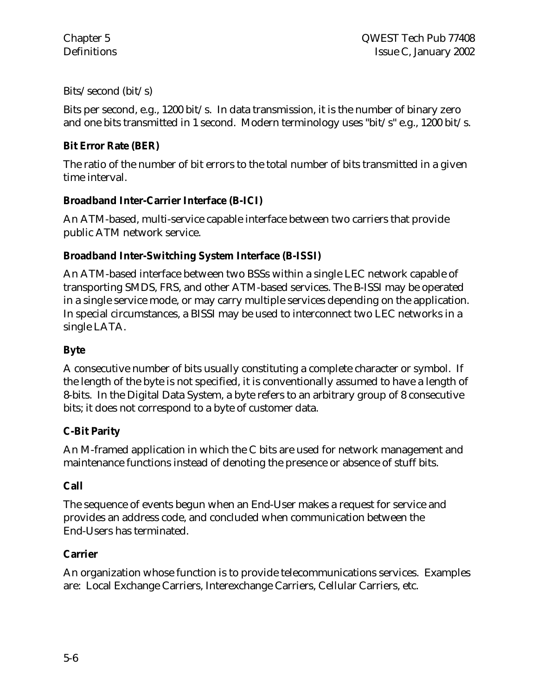Bits/second (bit/s)

Bits per second, e.g., 1200 bit/s. In data transmission, it is the number of binary zero and one bits transmitted in 1 second. Modern terminology uses "bit/s" e.g., 1200 bit/s.

## **Bit Error Rate (BER)**

The ratio of the number of bit errors to the total number of bits transmitted in a given time interval.

## **Broadband Inter-Carrier Interface (B-ICI)**

An ATM-based, multi-service capable interface between two carriers that provide public ATM network service.

## **Broadband Inter-Switching System Interface (B-ISSI)**

An ATM-based interface between two BSSs within a single LEC network capable of transporting SMDS, FRS, and other ATM-based services. The B-ISSI may be operated in a single service mode, or may carry multiple services depending on the application. In special circumstances, a BISSI may be used to interconnect two LEC networks in a single LATA.

## **Byte**

A consecutive number of bits usually constituting a complete character or symbol. If the length of the byte is not specified, it is conventionally assumed to have a length of 8-bits. In the Digital Data System, a byte refers to an arbitrary group of 8 consecutive bits; it does not correspond to a byte of customer data.

## **C-Bit Parity**

An M-framed application in which the C bits are used for network management and maintenance functions instead of denoting the presence or absence of stuff bits.

## **Call**

The sequence of events begun when an End-User makes a request for service and provides an address code, and concluded when communication between the End-Users has terminated.

#### **Carrier**

An organization whose function is to provide telecommunications services. Examples are: Local Exchange Carriers, Interexchange Carriers, Cellular Carriers, etc.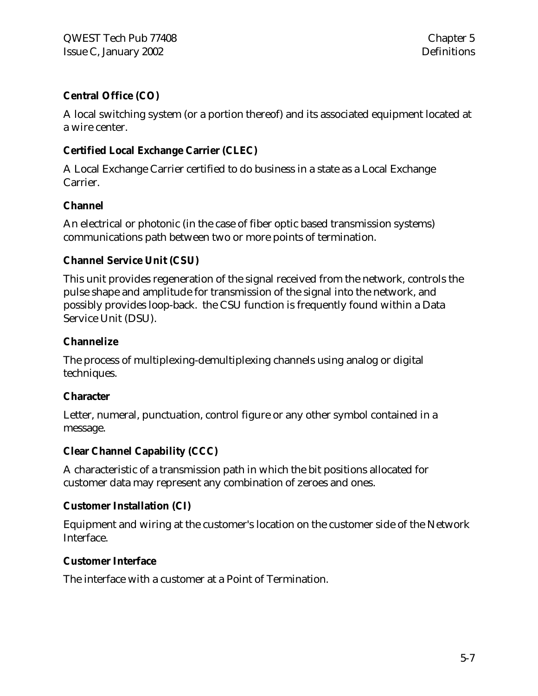## **Central Office (CO)**

A local switching system (or a portion thereof) and its associated equipment located at a wire center.

## **Certified Local Exchange Carrier (CLEC)**

A Local Exchange Carrier certified to do business in a state as a Local Exchange Carrier.

#### **Channel**

An electrical or photonic (in the case of fiber optic based transmission systems) communications path between two or more points of termination.

## **Channel Service Unit (CSU)**

This unit provides regeneration of the signal received from the network, controls the pulse shape and amplitude for transmission of the signal into the network, and possibly provides loop-back. the CSU function is frequently found within a Data Service Unit (DSU).

#### **Channelize**

The process of multiplexing-demultiplexing channels using analog or digital techniques.

#### **Character**

Letter, numeral, punctuation, control figure or any other symbol contained in a message.

## **Clear Channel Capability (CCC)**

A characteristic of a transmission path in which the bit positions allocated for customer data may represent any combination of zeroes and ones.

#### **Customer Installation (CI)**

Equipment and wiring at the customer's location on the customer side of the Network Interface.

#### **Customer Interface**

The interface with a customer at a Point of Termination.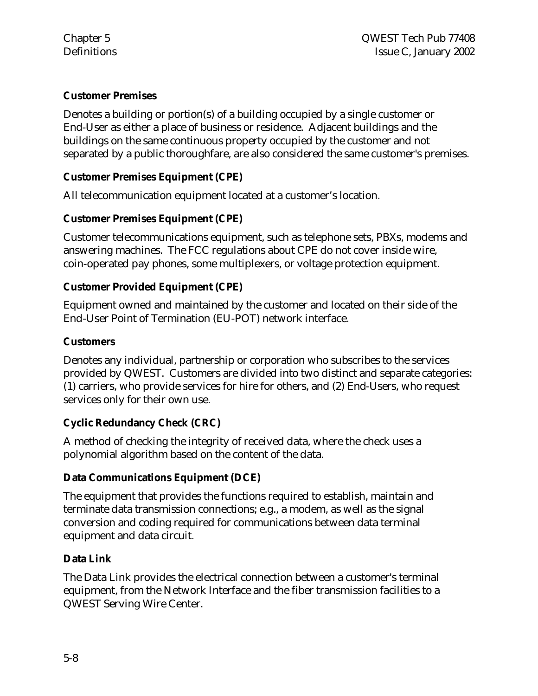## **Customer Premises**

Denotes a building or portion(s) of a building occupied by a single customer or End-User as either a place of business or residence. Adjacent buildings and the buildings on the same continuous property occupied by the customer and not separated by a public thoroughfare, are also considered the same customer's premises.

## **Customer Premises Equipment (CPE)**

All telecommunication equipment located at a customer's location.

## **Customer Premises Equipment (CPE)**

Customer telecommunications equipment, such as telephone sets, PBXs, modems and answering machines. The FCC regulations about CPE do not cover inside wire, coin-operated pay phones, some multiplexers, or voltage protection equipment.

## **Customer Provided Equipment (CPE)**

Equipment owned and maintained by the customer and located on their side of the End-User Point of Termination (EU-POT) network interface.

#### **Customers**

Denotes any individual, partnership or corporation who subscribes to the services provided by QWEST. Customers are divided into two distinct and separate categories: (1) carriers, who provide services for hire for others, and (2) End-Users, who request services only for their own use.

## **Cyclic Redundancy Check (CRC)**

A method of checking the integrity of received data, where the check uses a polynomial algorithm based on the content of the data.

## **Data Communications Equipment (DCE)**

The equipment that provides the functions required to establish, maintain and terminate data transmission connections; e.g., a modem, as well as the signal conversion and coding required for communications between data terminal equipment and data circuit.

## **Data Link**

The Data Link provides the electrical connection between a customer's terminal equipment, from the Network Interface and the fiber transmission facilities to a QWEST Serving Wire Center.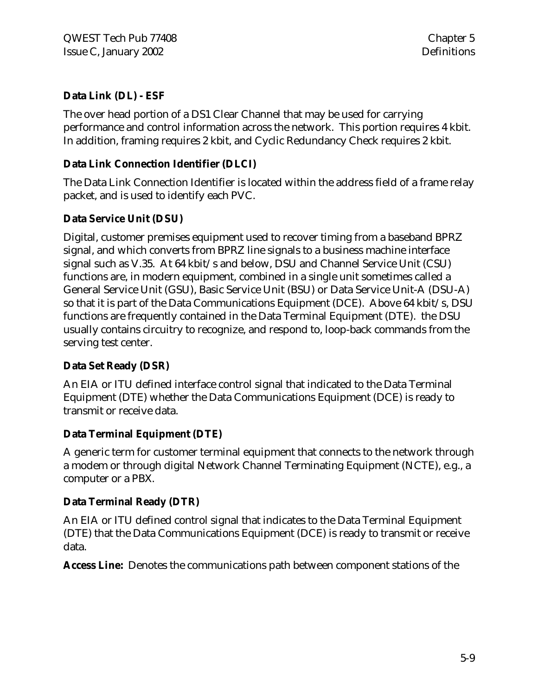## **Data Link (DL) - ESF**

The over head portion of a DS1 Clear Channel that may be used for carrying performance and control information across the network. This portion requires 4 kbit. In addition, framing requires 2 kbit, and Cyclic Redundancy Check requires 2 kbit.

## **Data Link Connection Identifier (DLCI)**

The Data Link Connection Identifier is located within the address field of a frame relay packet, and is used to identify each PVC.

## **Data Service Unit (DSU)**

Digital, customer premises equipment used to recover timing from a baseband BPRZ signal, and which converts from BPRZ line signals to a business machine interface signal such as V.35. At 64 kbit/s and below, DSU and Channel Service Unit (CSU) functions are, in modern equipment, combined in a single unit sometimes called a General Service Unit (GSU), Basic Service Unit (BSU) or Data Service Unit-A (DSU-A) so that it is part of the Data Communications Equipment (DCE). Above 64 kbit/s, DSU functions are frequently contained in the Data Terminal Equipment (DTE). the DSU usually contains circuitry to recognize, and respond to, loop-back commands from the serving test center.

## **Data Set Ready (DSR)**

An EIA or ITU defined interface control signal that indicated to the Data Terminal Equipment (DTE) whether the Data Communications Equipment (DCE) is ready to transmit or receive data.

## **Data Terminal Equipment (DTE)**

A generic term for customer terminal equipment that connects to the network through a modem or through digital Network Channel Terminating Equipment (NCTE), e.g., a computer or a PBX.

#### **Data Terminal Ready (DTR)**

An EIA or ITU defined control signal that indicates to the Data Terminal Equipment (DTE) that the Data Communications Equipment (DCE) is ready to transmit or receive data.

**Access Line:** Denotes the communications path between component stations of the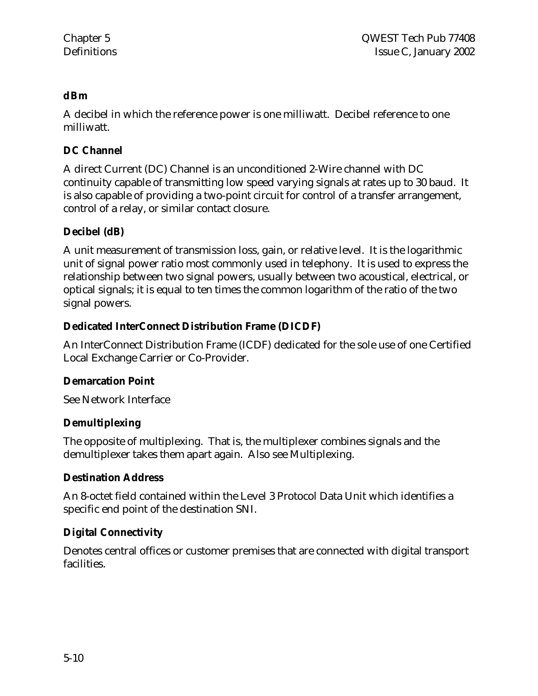## **dBm**

A decibel in which the reference power is one milliwatt. Decibel reference to one milliwatt.

## **DC Channel**

A direct Current (DC) Channel is an unconditioned 2-Wire channel with DC continuity capable of transmitting low speed varying signals at rates up to 30 baud. It is also capable of providing a two-point circuit for control of a transfer arrangement, control of a relay, or similar contact closure.

## **Decibel (dB)**

A unit measurement of transmission loss, gain, or relative level. It is the logarithmic unit of signal power ratio most commonly used in telephony. It is used to express the relationship between two signal powers, usually between two acoustical, electrical, or optical signals; it is equal to ten times the common logarithm of the ratio of the two signal powers.

## **Dedicated InterConnect Distribution Frame (DICDF)**

An InterConnect Distribution Frame (ICDF) dedicated for the sole use of one Certified Local Exchange Carrier or Co-Provider.

#### **Demarcation Point**

See Network Interface

#### **Demultiplexing**

The opposite of multiplexing. That is, the multiplexer combines signals and the demultiplexer takes them apart again. Also see Multiplexing.

#### **Destination Address**

An 8-octet field contained within the Level 3 Protocol Data Unit which identifies a specific end point of the destination SNI.

## **Digital Connectivity**

Denotes central offices or customer premises that are connected with digital transport facilities.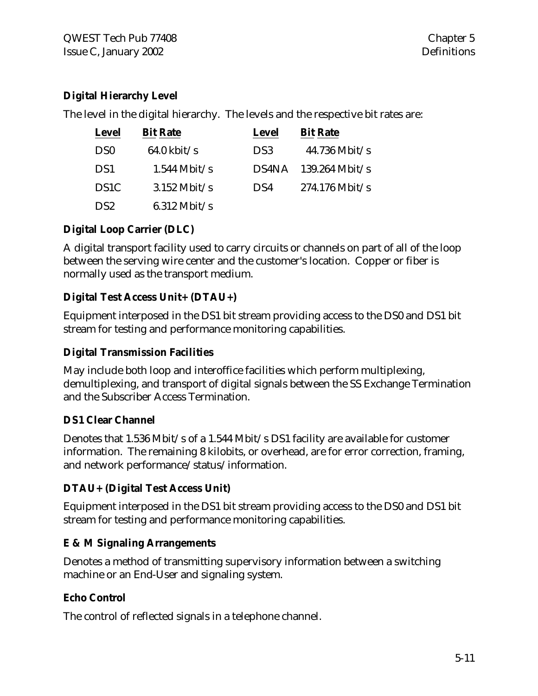## **Digital Hierarchy Level**

The level in the digital hierarchy. The levels and the respective bit rates are:

| <b>Level</b>      | <b>Bit Rate</b>       | <b>Level</b> | <b>Bit Rate</b>  |
|-------------------|-----------------------|--------------|------------------|
| D <sub>S0</sub>   | $64.0 \text{ kbit/s}$ | DS3          | $44.736$ Mbit/s  |
| DS <sub>1</sub>   | $1.544$ Mbit/s        | DS4NA        | $139.264$ Mbit/s |
| DS <sub>1</sub> C | $3.152$ Mbit/s        | DS4          | $274.176$ Mbit/s |
| DS2               | $6.312$ Mbit/s        |              |                  |

## **Digital Loop Carrier (DLC)**

A digital transport facility used to carry circuits or channels on part of all of the loop between the serving wire center and the customer's location. Copper or fiber is normally used as the transport medium.

## **Digital Test Access Unit+ (DTAU+)**

Equipment interposed in the DS1 bit stream providing access to the DS0 and DS1 bit stream for testing and performance monitoring capabilities.

## **Digital Transmission Facilities**

May include both loop and interoffice facilities which perform multiplexing, demultiplexing, and transport of digital signals between the SS Exchange Termination and the Subscriber Access Termination.

## **DS1 Clear Channel**

Denotes that 1.536 Mbit/s of a 1.544 Mbit/s DS1 facility are available for customer information. The remaining 8 kilobits, or overhead, are for error correction, framing, and network performance/status/information.

## **DTAU+ (Digital Test Access Unit)**

Equipment interposed in the DS1 bit stream providing access to the DS0 and DS1 bit stream for testing and performance monitoring capabilities.

## **E & M Signaling Arrangements**

Denotes a method of transmitting supervisory information between a switching machine or an End-User and signaling system.

## **Echo Control**

The control of reflected signals in a telephone channel.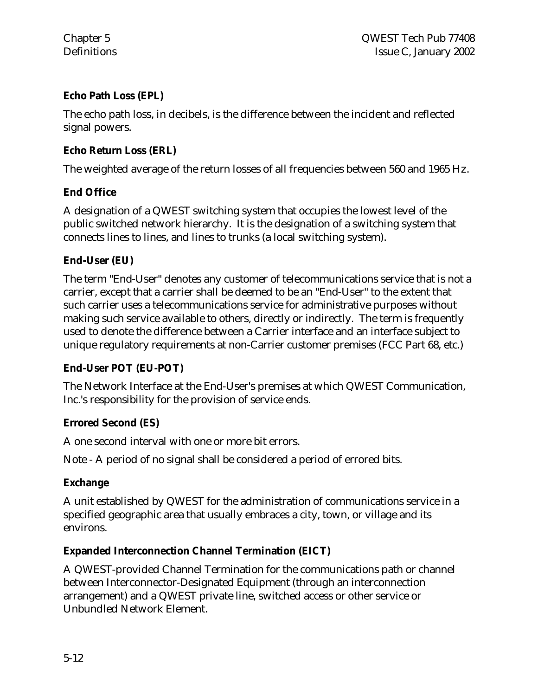## **Echo Path Loss (EPL)**

The echo path loss, in decibels, is the difference between the incident and reflected signal powers.

#### **Echo Return Loss (ERL)**

The weighted average of the return losses of all frequencies between 560 and 1965 Hz.

## **End Office**

A designation of a QWEST switching system that occupies the lowest level of the public switched network hierarchy. It is the designation of a switching system that connects lines to lines, and lines to trunks (a local switching system).

## **End-User (EU)**

The term "End-User" denotes any customer of telecommunications service that is not a carrier, except that a carrier shall be deemed to be an "End-User" to the extent that such carrier uses a telecommunications service for administrative purposes without making such service available to others, directly or indirectly. The term is frequently used to denote the difference between a Carrier interface and an interface subject to unique regulatory requirements at non-Carrier customer premises (FCC Part 68, etc.)

## **End-User POT (EU-POT)**

The Network Interface at the End-User's premises at which QWEST Communication, Inc.'s responsibility for the provision of service ends.

#### **Errored Second (ES)**

A one second interval with one or more bit errors.

Note - A period of no signal shall be considered a period of errored bits.

#### **Exchange**

A unit established by QWEST for the administration of communications service in a specified geographic area that usually embraces a city, town, or village and its environs.

## **Expanded Interconnection Channel Termination (EICT)**

A QWEST-provided Channel Termination for the communications path or channel between Interconnector-Designated Equipment (through an interconnection arrangement) and a QWEST private line, switched access or other service or Unbundled Network Element.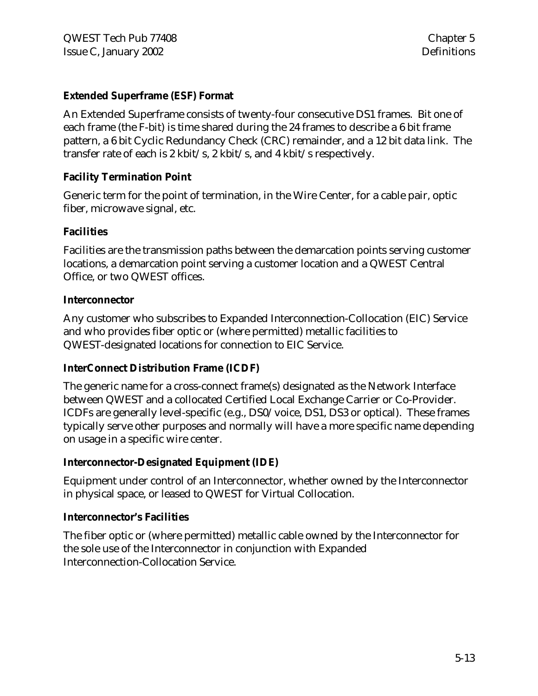#### **Extended Superframe (ESF) Format**

An Extended Superframe consists of twenty-four consecutive DS1 frames. Bit one of each frame (the F-bit) is time shared during the 24 frames to describe a 6 bit frame pattern, a 6 bit Cyclic Redundancy Check (CRC) remainder, and a 12 bit data link. The transfer rate of each is 2 kbit/s, 2 kbit/s, and 4 kbit/s respectively.

#### **Facility Termination Point**

Generic term for the point of termination, in the Wire Center, for a cable pair, optic fiber, microwave signal, etc.

#### **Facilities**

Facilities are the transmission paths between the demarcation points serving customer locations, a demarcation point serving a customer location and a QWEST Central Office, or two QWEST offices.

#### **Interconnector**

Any customer who subscribes to Expanded Interconnection-Collocation (EIC) Service and who provides fiber optic or (where permitted) metallic facilities to QWEST-designated locations for connection to EIC Service.

#### **InterConnect Distribution Frame (ICDF)**

The generic name for a cross-connect frame(s) designated as the Network Interface between QWEST and a collocated Certified Local Exchange Carrier or Co-Provider. ICDFs are generally level-specific (e.g., DS0/voice, DS1, DS3 or optical). These frames typically serve other purposes and normally will have a more specific name depending on usage in a specific wire center.

#### **Interconnector-Designated Equipment (IDE)**

Equipment under control of an Interconnector, whether owned by the Interconnector in physical space, or leased to QWEST for Virtual Collocation.

#### **Interconnector's Facilities**

The fiber optic or (where permitted) metallic cable owned by the Interconnector for the sole use of the Interconnector in conjunction with Expanded Interconnection-Collocation Service.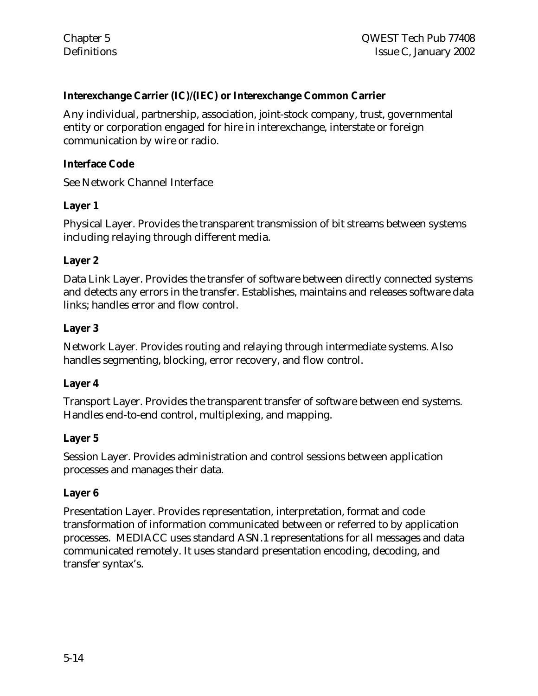## **Interexchange Carrier (IC)/(IEC) or Interexchange Common Carrier**

Any individual, partnership, association, joint-stock company, trust, governmental entity or corporation engaged for hire in interexchange, interstate or foreign communication by wire or radio.

#### **Interface Code**

See Network Channel Interface

#### **Layer 1**

Physical Layer. Provides the transparent transmission of bit streams between systems including relaying through different media.

#### **Layer 2**

Data Link Layer. Provides the transfer of software between directly connected systems and detects any errors in the transfer. Establishes, maintains and releases software data links; handles error and flow control.

#### **Layer 3**

Network Layer. Provides routing and relaying through intermediate systems. Also handles segmenting, blocking, error recovery, and flow control.

#### **Layer 4**

Transport Layer. Provides the transparent transfer of software between end systems. Handles end-to-end control, multiplexing, and mapping.

#### **Layer 5**

Session Layer. Provides administration and control sessions between application processes and manages their data.

#### **Layer 6**

Presentation Layer. Provides representation, interpretation, format and code transformation of information communicated between or referred to by application processes. MEDIACC uses standard ASN.1 representations for all messages and data communicated remotely. It uses standard presentation encoding, decoding, and transfer syntax's.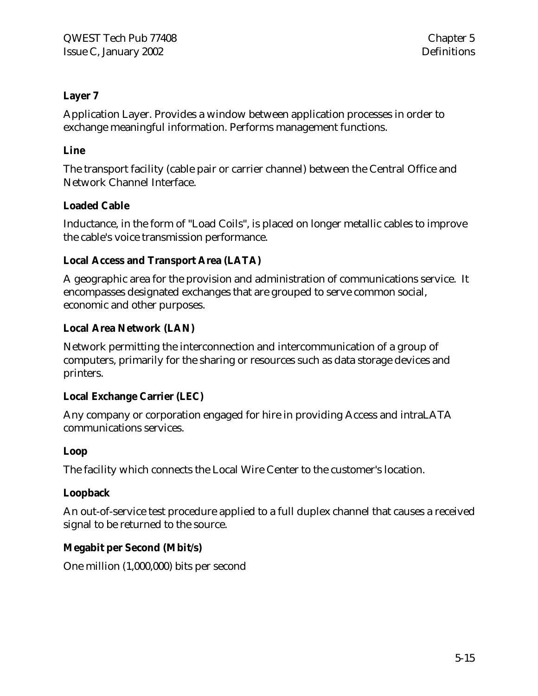## **Layer 7**

Application Layer. Provides a window between application processes in order to exchange meaningful information. Performs management functions.

## **Line**

The transport facility (cable pair or carrier channel) between the Central Office and Network Channel Interface.

## **Loaded Cable**

Inductance, in the form of "Load Coils", is placed on longer metallic cables to improve the cable's voice transmission performance.

## **Local Access and Transport Area (LATA)**

A geographic area for the provision and administration of communications service. It encompasses designated exchanges that are grouped to serve common social, economic and other purposes.

## **Local Area Network (LAN)**

Network permitting the interconnection and intercommunication of a group of computers, primarily for the sharing or resources such as data storage devices and printers.

## **Local Exchange Carrier (LEC)**

Any company or corporation engaged for hire in providing Access and intraLATA communications services.

#### **Loop**

The facility which connects the Local Wire Center to the customer's location.

## **Loopback**

An out-of-service test procedure applied to a full duplex channel that causes a received signal to be returned to the source.

## **Megabit per Second (Mbit/s)**

One million (1,000,000) bits per second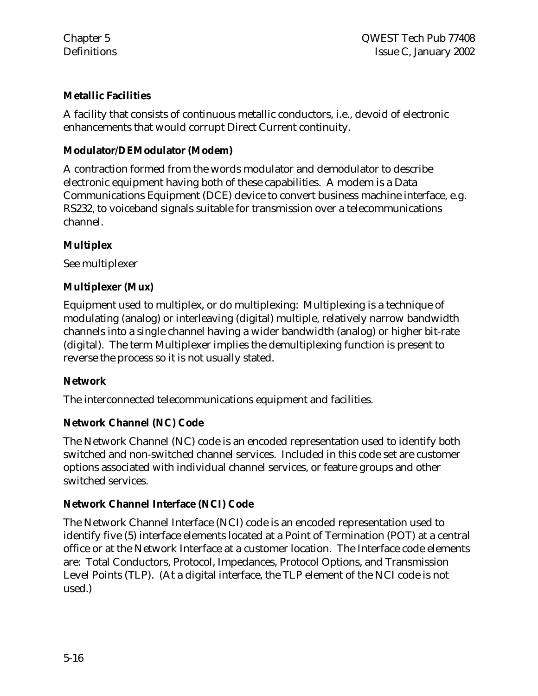## **Metallic Facilities**

A facility that consists of continuous metallic conductors, i.e., devoid of electronic enhancements that would corrupt Direct Current continuity.

#### **Modulator/DEModulator (Modem)**

A contraction formed from the words modulator and demodulator to describe electronic equipment having both of these capabilities. A modem is a Data Communications Equipment (DCE) device to convert business machine interface, e.g. RS232, to voiceband signals suitable for transmission over a telecommunications channel.

#### **Multiplex**

See multiplexer

## **Multiplexer (Mux)**

Equipment used to multiplex, or do multiplexing: Multiplexing is a technique of modulating (analog) or interleaving (digital) multiple, relatively narrow bandwidth channels into a single channel having a wider bandwidth (analog) or higher bit-rate (digital). The term Multiplexer implies the demultiplexing function is present to reverse the process so it is not usually stated.

#### **Network**

The interconnected telecommunications equipment and facilities.

#### **Network Channel (NC) Code**

The Network Channel (NC) code is an encoded representation used to identify both switched and non-switched channel services. Included in this code set are customer options associated with individual channel services, or feature groups and other switched services.

#### **Network Channel Interface (NCI) Code**

The Network Channel Interface (NCI) code is an encoded representation used to identify five (5) interface elements located at a Point of Termination (POT) at a central office or at the Network Interface at a customer location. The Interface code elements are: Total Conductors, Protocol, Impedances, Protocol Options, and Transmission Level Points (TLP). (At a digital interface, the TLP element of the NCI code is not used.)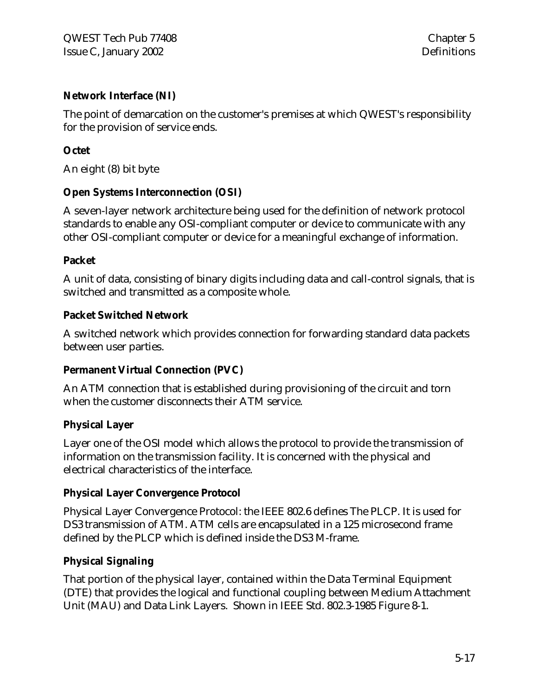## **Network Interface (NI)**

The point of demarcation on the customer's premises at which QWEST's responsibility for the provision of service ends.

## **Octet**

An eight (8) bit byte

#### **Open Systems Interconnection (OSI)**

A seven-layer network architecture being used for the definition of network protocol standards to enable any OSI-compliant computer or device to communicate with any other OSI-compliant computer or device for a meaningful exchange of information.

#### **Packet**

A unit of data, consisting of binary digits including data and call-control signals, that is switched and transmitted as a composite whole.

#### **Packet Switched Network**

A switched network which provides connection for forwarding standard data packets between user parties.

#### **Permanent Virtual Connection (PVC)**

An ATM connection that is established during provisioning of the circuit and torn when the customer disconnects their ATM service.

#### **Physical Layer**

Layer one of the OSI model which allows the protocol to provide the transmission of information on the transmission facility. It is concerned with the physical and electrical characteristics of the interface.

#### **Physical Layer Convergence Protocol**

Physical Layer Convergence Protocol: the IEEE 802.6 defines The PLCP. It is used for DS3 transmission of ATM. ATM cells are encapsulated in a 125 microsecond frame defined by the PLCP which is defined inside the DS3 M-frame.

#### **Physical Signaling**

That portion of the physical layer, contained within the Data Terminal Equipment (DTE) that provides the logical and functional coupling between Medium Attachment Unit (MAU) and Data Link Layers. Shown in IEEE Std. 802.3-1985 Figure 8-1.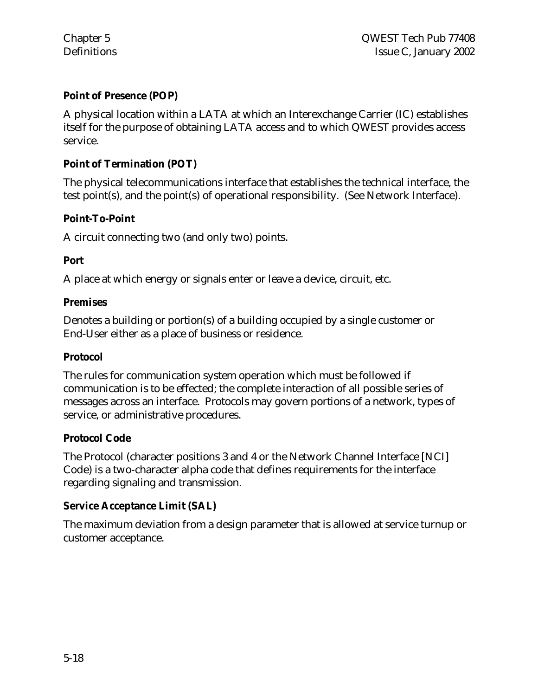## **Point of Presence (POP)**

A physical location within a LATA at which an Interexchange Carrier (IC) establishes itself for the purpose of obtaining LATA access and to which QWEST provides access service.

## **Point of Termination (POT)**

The physical telecommunications interface that establishes the technical interface, the test point(s), and the point(s) of operational responsibility. (See Network Interface).

## **Point-To-Point**

A circuit connecting two (and only two) points.

#### **Port**

A place at which energy or signals enter or leave a device, circuit, etc.

#### **Premises**

Denotes a building or portion(s) of a building occupied by a single customer or End-User either as a place of business or residence.

#### **Protocol**

The rules for communication system operation which must be followed if communication is to be effected; the complete interaction of all possible series of messages across an interface. Protocols may govern portions of a network, types of service, or administrative procedures.

#### **Protocol Code**

The Protocol (character positions 3 and 4 or the Network Channel Interface [NCI] Code) is a two-character alpha code that defines requirements for the interface regarding signaling and transmission.

#### **Service Acceptance Limit (SAL)**

The maximum deviation from a design parameter that is allowed at service turnup or customer acceptance.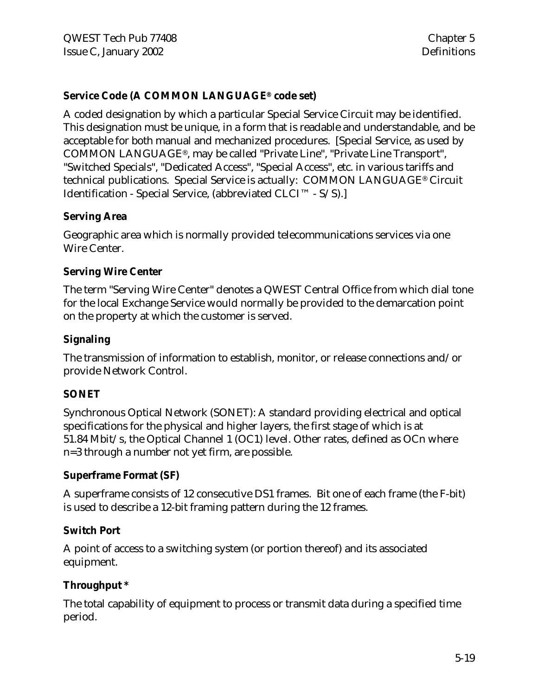## **Service Code (A COMMON LANGUAGE® code set)**

A coded designation by which a particular Special Service Circuit may be identified. This designation must be unique, in a form that is readable and understandable, and be acceptable for both manual and mechanized procedures. [Special Service, as used by COMMON LANGUAGE®, may be called "Private Line", "Private Line Transport", "Switched Specials", "Dedicated Access", "Special Access", etc. in various tariffs and technical publications. Special Service is actually: COMMON LANGUAGE® Circuit Identification - Special Service, (abbreviated CLCI™ - S/S).]

#### **Serving Area**

Geographic area which is normally provided telecommunications services via one Wire Center.

#### **Serving Wire Center**

The term "Serving Wire Center" denotes a QWEST Central Office from which dial tone for the local Exchange Service would normally be provided to the demarcation point on the property at which the customer is served.

#### **Signaling**

The transmission of information to establish, monitor, or release connections and/or provide Network Control.

#### **SONET**

Synchronous Optical Network (SONET): A standard providing electrical and optical specifications for the physical and higher layers, the first stage of which is at 51.84 Mbit/s, the Optical Channel 1 (OC1) level. Other rates, defined as OCn where n=3 through a number not yet firm, are possible.

#### **Superframe Format (SF)**

A superframe consists of 12 consecutive DS1 frames. Bit one of each frame (the F-bit) is used to describe a 12-bit framing pattern during the 12 frames.

#### **Switch Port**

A point of access to a switching system (or portion thereof) and its associated equipment.

#### **Throughput \***

The total capability of equipment to process or transmit data during a specified time period.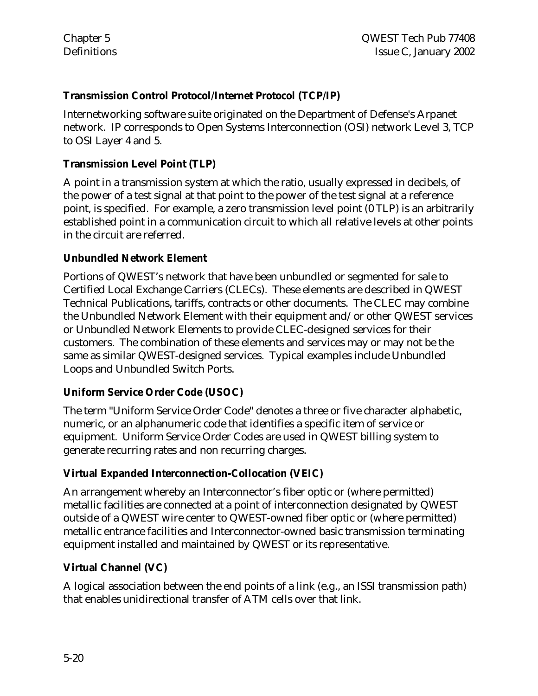## **Transmission Control Protocol/Internet Protocol (TCP/IP)**

Internetworking software suite originated on the Department of Defense's Arpanet network. IP corresponds to Open Systems Interconnection (OSI) network Level 3, TCP to OSI Layer 4 and 5.

## **Transmission Level Point (TLP)**

A point in a transmission system at which the ratio, usually expressed in decibels, of the power of a test signal at that point to the power of the test signal at a reference point, is specified. For example, a zero transmission level point (0 TLP) is an arbitrarily established point in a communication circuit to which all relative levels at other points in the circuit are referred.

#### **Unbundled Network Element**

Portions of QWEST's network that have been unbundled or segmented for sale to Certified Local Exchange Carriers (CLECs). These elements are described in QWEST Technical Publications, tariffs, contracts or other documents. The CLEC may combine the Unbundled Network Element with their equipment and/or other QWEST services or Unbundled Network Elements to provide CLEC-designed services for their customers. The combination of these elements and services may or may not be the same as similar QWEST-designed services. Typical examples include Unbundled Loops and Unbundled Switch Ports.

## **Uniform Service Order Code (USOC)**

The term "Uniform Service Order Code" denotes a three or five character alphabetic, numeric, or an alphanumeric code that identifies a specific item of service or equipment. Uniform Service Order Codes are used in QWEST billing system to generate recurring rates and non recurring charges.

## **Virtual Expanded Interconnection-Collocation (VEIC)**

An arrangement whereby an Interconnector's fiber optic or (where permitted) metallic facilities are connected at a point of interconnection designated by QWEST outside of a QWEST wire center to QWEST-owned fiber optic or (where permitted) metallic entrance facilities and Interconnector-owned basic transmission terminating equipment installed and maintained by QWEST or its representative.

## **Virtual Channel (VC)**

A logical association between the end points of a link (e.g., an ISSI transmission path) that enables unidirectional transfer of ATM cells over that link.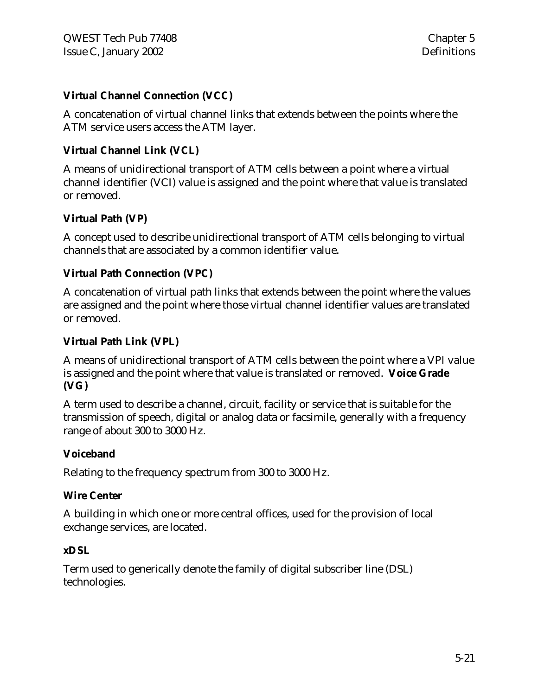## **Virtual Channel Connection (VCC)**

A concatenation of virtual channel links that extends between the points where the ATM service users access the ATM layer.

## **Virtual Channel Link (VCL)**

A means of unidirectional transport of ATM cells between a point where a virtual channel identifier (VCI) value is assigned and the point where that value is translated or removed.

## **Virtual Path (VP)**

A concept used to describe unidirectional transport of ATM cells belonging to virtual channels that are associated by a common identifier value.

#### **Virtual Path Connection (VPC)**

A concatenation of virtual path links that extends between the point where the values are assigned and the point where those virtual channel identifier values are translated or removed.

## **Virtual Path Link (VPL)**

A means of unidirectional transport of ATM cells between the point where a VPI value is assigned and the point where that value is translated or removed. **Voice Grade (VG)**

A term used to describe a channel, circuit, facility or service that is suitable for the transmission of speech, digital or analog data or facsimile, generally with a frequency range of about 300 to 3000 Hz.

#### **Voiceband**

Relating to the frequency spectrum from 300 to 3000 Hz.

#### **Wire Center**

A building in which one or more central offices, used for the provision of local exchange services, are located.

#### **xDSL**

Term used to generically denote the family of digital subscriber line (DSL) technologies.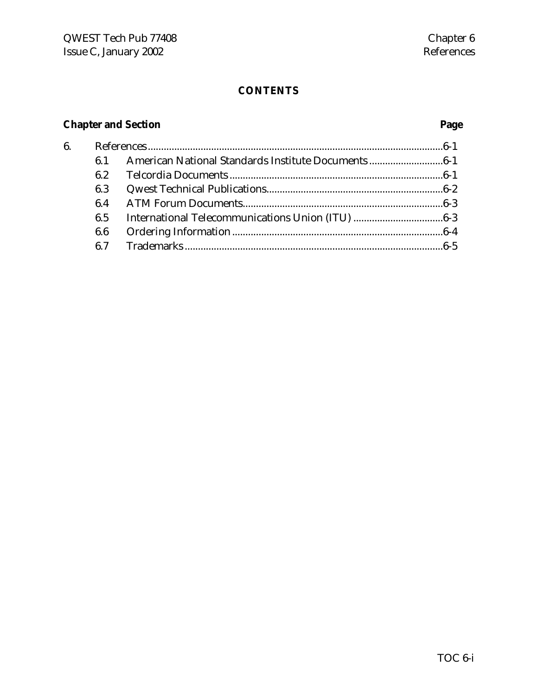## **CONTENTS**

# **Chapter and Section Page**

| 6. |     |  |
|----|-----|--|
|    | 61  |  |
|    | 6.2 |  |
|    | 6.3 |  |
|    | 64  |  |
|    | 6.5 |  |
|    | 6.6 |  |
|    |     |  |
|    |     |  |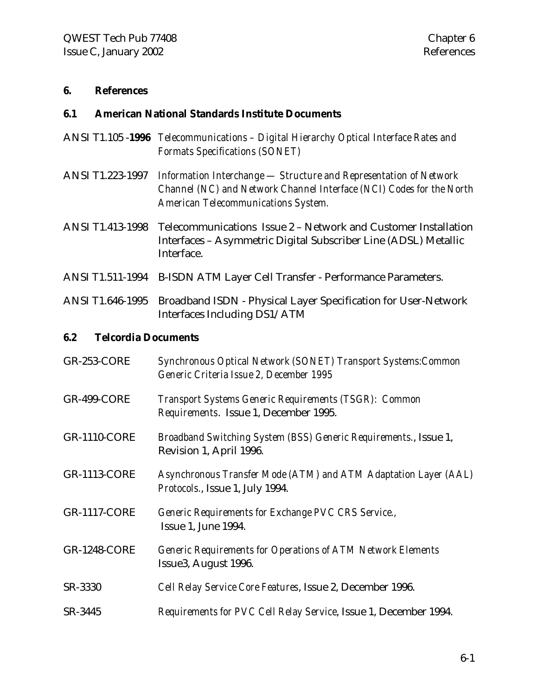#### **6. References**

#### **6.1 American National Standards Institute Documents**

- ANSI T1.105 -**1996** *Telecommunications Digital Hierarchy Optical Interface Rates and Formats Specifications (SONET)*
- ANSI T1.223-1997 *Information Interchange Structure and Representation of Network Channel (NC) and Network Channel Interface (NCI) Codes for the North American Telecommunications System.*
- ANSI T1.413-1998 Telecommunications Issue 2 Network and Customer Installation Interfaces – Asymmetric Digital Subscriber Line (ADSL) Metallic Interface.
- ANSI T1.511-1994 B-ISDN ATM Layer Cell Transfer Performance Parameters.
- ANSI T1.646-1995 Broadband ISDN Physical Layer Specification for User-Network Interfaces Including DS1/ATM

#### **6.2 Telcordia Documents**

GR-253-CORE *Synchronous Optical Network (SONET) Transport Systems:Common Generic Criteria Issue 2, December 1995* GR-499-CORE *Transport Systems Generic Requirements (TSGR): Common Requirements*. Issue 1, December 1995. GR-1110-CORE *Broadband Switching System (BSS) Generic Requirements.*, Issue 1, Revision 1, April 1996. GR-1113-CORE *Asynchronous Transfer Mode (ATM) and ATM Adaptation Layer (AAL) Protocols.*, Issue 1, July 1994. GR-1117-CORE *Generic Requirements for Exchange PVC CRS Service.,* Issue 1, June 1994. GR-1248-CORE *Generic Requirements for Operations of ATM Network Elements* Issue3, August 1996. SR-3330 *Cell Relay Service Core Features*, Issue 2, December 1996. SR-3445 *Requirements for PVC Cell Relay Service*, Issue 1, December 1994.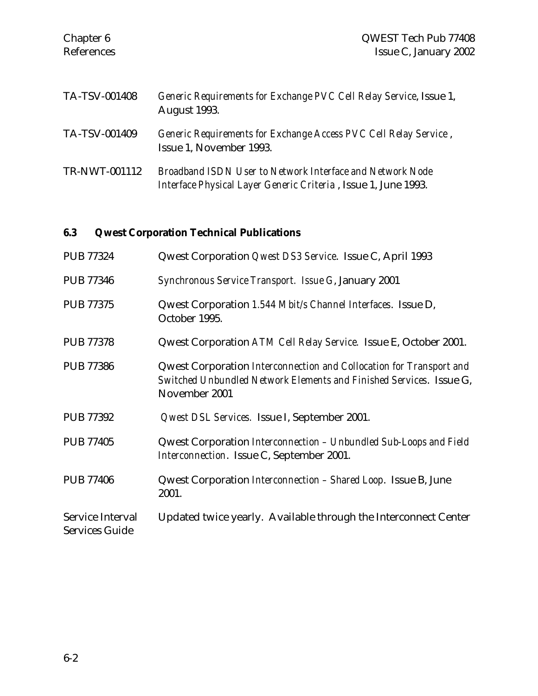| Chapter 6<br>References | QWEST Tech Pub 77408<br>Issue C, January 2002                                                                               |
|-------------------------|-----------------------------------------------------------------------------------------------------------------------------|
| <b>TA-TSV-001408</b>    | Generic Requirements for Exchange PVC Cell Relay Service, Issue 1,<br>August 1993.                                          |
| TA-TSV-001409           | Generic Requirements for Exchange Access PVC Cell Relay Service,<br>Issue 1, November 1993.                                 |
| TR-NWT-001112           | Broadband ISDN User to Network Interface and Network Node<br>Interface Physical Layer Generic Criteria, Issue 1, June 1993. |

# **6.3 Qwest Corporation Technical Publications**

| <b>PUB 77324</b>                          | Qwest Corporation Qwest DS3 Service. Issue C, April 1993                                                                                                    |
|-------------------------------------------|-------------------------------------------------------------------------------------------------------------------------------------------------------------|
| <b>PUB 77346</b>                          | Synchronous Service Transport. Issue G, January 2001                                                                                                        |
| <b>PUB 77375</b>                          | Qwest Corporation 1.544 Mbit/s Channel Interfaces. Issue D,<br>October 1995.                                                                                |
| <b>PUB 77378</b>                          | Qwest Corporation ATM Cell Relay Service. Issue E, October 2001.                                                                                            |
| <b>PUB 77386</b>                          | Qwest Corporation Interconnection and Collocation for Transport and<br>Switched Unbundled Network Elements and Finished Services. Issue G,<br>November 2001 |
| <b>PUB 77392</b>                          | Qwest DSL Services. Issue I, September 2001.                                                                                                                |
| <b>PUB 77405</b>                          | Qwest Corporation Interconnection – Unbundled Sub-Loops and Field<br>Interconnection. Issue C, September 2001.                                              |
| <b>PUB 77406</b>                          | Qwest Corporation <i>Interconnection</i> – Shared Loop. Issue B, June<br>2001.                                                                              |
| Service Interval<br><b>Services Guide</b> | Updated twice yearly. Available through the Interconnect Center                                                                                             |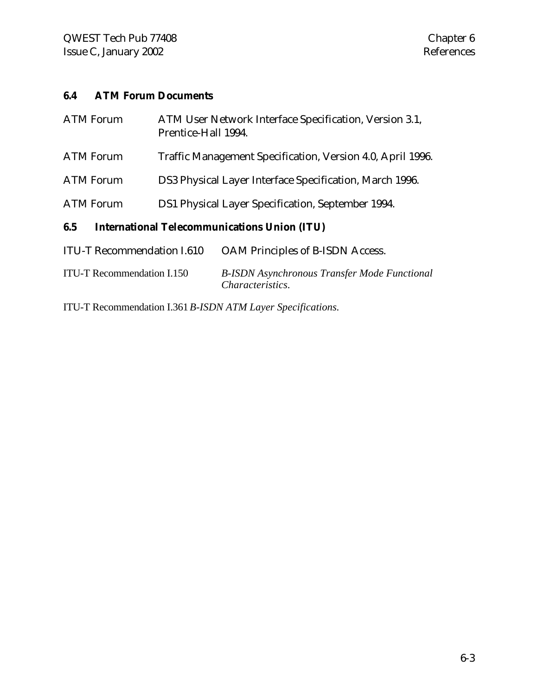## **6.4 ATM Forum Documents**

| <b>ATM Forum</b>                                                    | ATM User Network Interface Specification, Version 3.1,<br>Prentice-Hall 1994. |  |
|---------------------------------------------------------------------|-------------------------------------------------------------------------------|--|
| <b>ATM Forum</b>                                                    | Traffic Management Specification, Version 4.0, April 1996.                    |  |
| <b>ATM Forum</b>                                                    | DS3 Physical Layer Interface Specification, March 1996.                       |  |
| <b>ATM Forum</b>                                                    | DS1 Physical Layer Specification, September 1994.                             |  |
| <b>International Telecommunications Union (ITU)</b><br>6.5          |                                                                               |  |
| <b>ITULT Recommendation L610</b><br>OAM Principles of B-ISDN Access |                                                                               |  |

| ITU-T Recommendation I.150<br><i>Characteristics.</i> | 110 The commentation Role | $\sigma$ and a micropics of D to D $\sigma$ recess. |
|-------------------------------------------------------|---------------------------|-----------------------------------------------------|
|                                                       |                           | <b>B-ISDN</b> Asynchronous Transfer Mode Functional |

ITU-T Recommendation I.361*B-ISDN ATM Layer Specifications.*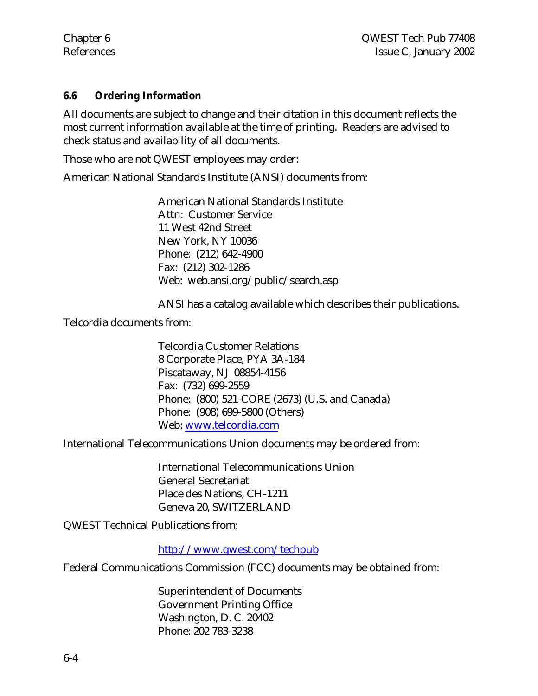#### **6.6 Ordering Information**

All documents are subject to change and their citation in this document reflects the most current information available at the time of printing. Readers are advised to check status and availability of all documents.

Those who are not QWEST employees may order:

American National Standards Institute (ANSI) documents from:

American National Standards Institute Attn: Customer Service 11 West 42nd Street New York, NY 10036 Phone: (212) 642-4900 Fax: (212) 302-1286 Web: web.ansi.org/public/search.asp

ANSI has a catalog available which describes their publications.

Telcordia documents from:

Telcordia Customer Relations 8 Corporate Place, PYA 3A-184 Piscataway, NJ 08854-4156 Fax: (732) 699-2559 Phone: (800) 521-CORE (2673) (U.S. and Canada) Phone: (908) 699-5800 (Others) Web: www.telcordia.com

International Telecommunications Union documents may be ordered from:

International Telecommunications Union General Secretariat Place des Nations, CH-1211 Geneva 20, SWITZERLAND

QWEST Technical Publications from:

http://www.qwest.com/techpub

Federal Communications Commission (FCC) documents may be obtained from:

Superintendent of Documents Government Printing Office Washington, D. C. 20402 Phone: 202 783-3238